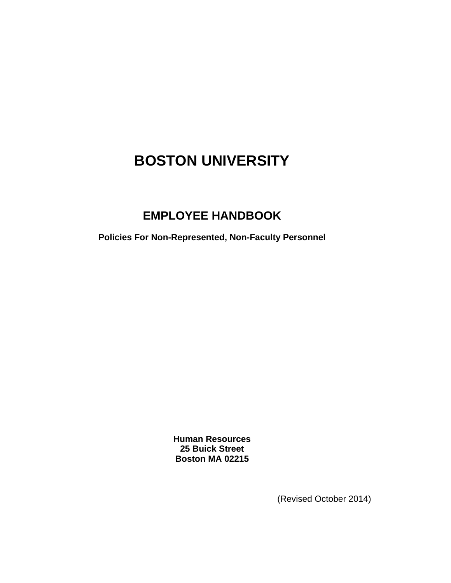# **[BOSTON UNIVERSITY](http://www.bu.edu/)**

## **EMPLOYEE HANDBOOK**

**Policies For Non-Represented, Non-Faculty Personnel** 

**Human Resources 25 Buick Street Boston MA 02215** 

(Revised October 2014)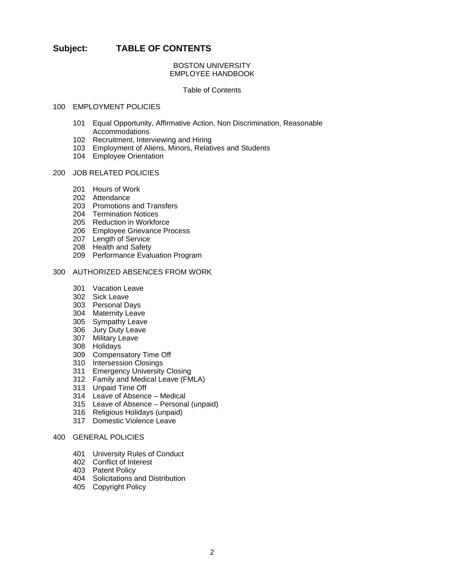## **Subject: TABLE OF CONTENTS**

## BOSTON UNIVERSITY EMPLOYEE HANDBOOK

#### Table of Contents

## 100 EMPLOYMENT POLICIES

- 101 Equal Opportunity, Affirmative Action, Non Discrimination, Reasonable Accommodations
- 102 Recruitment, Interviewing and Hiring
- 103 Employment of Aliens, Minors, Relatives and Students
- 104 Employee Orientation

#### 200 JOB RELATED POLICIES

- 201 Hours of Work
- 202 Attendance
- 203 Promotions and Transfers
- 204 Termination Notices
- 205 Reduction in Workforce
- 206 Employee Grievance Process
- 207 Length of Service
- 208 Health and Safety
- 209 Performance Evaluation Program

## 300 AUTHORIZED ABSENCES FROM WORK

- 301 Vacation Leave
- 302 Sick Leave
- 303 Personal Days
- 304 Maternity Leave
- 305 Sympathy Leave
- 306 Jury Duty Leave
- 307 Military Leave
	- 308 Holidays
	- 309 Compensatory Time Off
	- 310 Intersession Closings
	- 311 Emergency University Closing
	- 312 Family and Medical Leave (FMLA)
	- 313 Unpaid Time Off
	- 314 Leave of Absence Medical
	- 315 Leave of Absence Personal (unpaid)
	- 316 Religious Holidays (unpaid)
	- 317 Domestic Violence Leave

## 400 GENERAL POLICIES

- 401 University Rules of Conduct
- 402 Conflict of Interest
- 403 Patent Policy
- 404 Solicitations and Distribution
- 405 Copyright Policy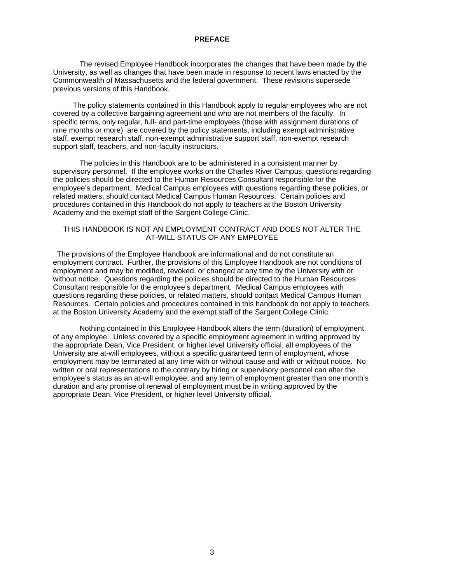#### **PREFACE**

 The revised Employee Handbook incorporates the changes that have been made by the University, as well as changes that have been made in response to recent laws enacted by the Commonwealth of Massachusetts and the federal government. These revisions supersede previous versions of this Handbook.

 The policy statements contained in this Handbook apply to regular employees who are not covered by a collective bargaining agreement and who are not members of the faculty. In specific terms, only regular, full- and part-time employees (those with assignment durations of nine months or more) are covered by the policy statements, including exempt administrative staff, exempt research staff, non-exempt administrative support staff, non-exempt research support staff, teachers, and non-faculty instructors.

 The policies in this Handbook are to be administered in a consistent manner by supervisory personnel. If the employee works on the Charles River Campus, questions regarding the policies should be directed to the Human Resources Consultant responsible for the employee's department. Medical Campus employees with questions regarding these policies, or related matters, should contact Medical Campus Human Resources. Certain policies and procedures contained in this Handbook do not apply to teachers at the Boston University Academy and the exempt staff of the Sargent College Clinic.

### THIS HANDBOOK IS NOT AN EMPLOYMENT CONTRACT AND DOES NOT ALTER THE AT-WILL STATUS OF ANY EMPLOYEE

The provisions of the Employee Handbook are informational and do not constitute an employment contract. Further, the provisions of this Employee Handbook are not conditions of employment and may be modified, revoked, or changed at any time by the University with or without notice. Questions regarding the policies should be directed to the Human Resources Consultant responsible for the employee's department. Medical Campus employees with questions regarding these policies, or related matters, should contact Medical Campus Human Resources. Certain policies and procedures contained in this handbook do not apply to teachers at the Boston University Academy and the exempt staff of the Sargent College Clinic.

 Nothing contained in this Employee Handbook alters the term (duration) of employment of any employee. Unless covered by a specific employment agreement in writing approved by the appropriate Dean, Vice President, or higher level University official, all employees of the University are at-will employees, without a specific guaranteed term of employment, whose employment may be terminated at any time with or without cause and with or without notice. No written or oral representations to the contrary by hiring or supervisory personnel can alter the employee's status as an at-will employee, and any term of employment greater than one month's duration and any promise of renewal of employment must be in writing approved by the appropriate Dean, Vice President, or higher level University official.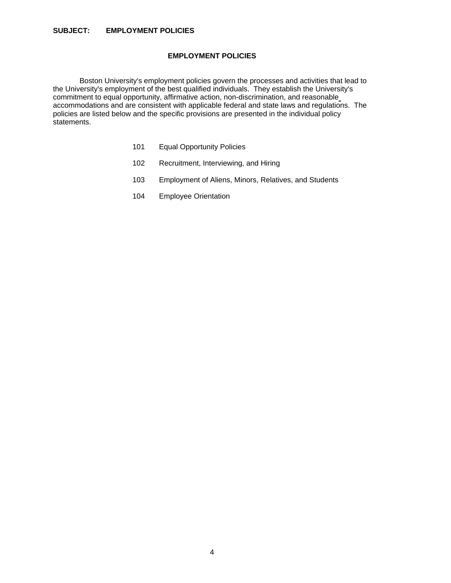## **SUBJECT: EMPLOYMENT POLICIES**

## **EMPLOYMENT POLICIES**

 Boston University's employment policies govern the processes and activities that lead to the University's employment of the best qualified individuals. They establish the University's commitment to equal opportunity, affirmative action, non-discrimination, and reasonable accommodations and are consistent with applicable federal and state laws and regulations. The policies are listed below and the specific provisions are presented in the individual policy statements.

- 101 Equal Opportunity Policies
- 102 Recruitment, Interviewing, and Hiring
- 103 Employment of Aliens, Minors, Relatives, and Students
- 104 Employee Orientation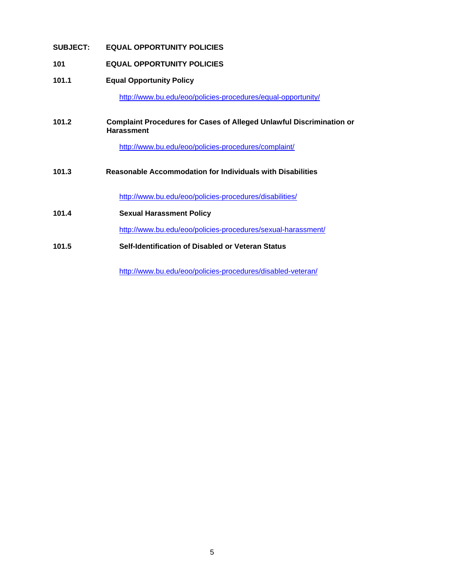## **SUBJECT: EQUAL OPPORTUNITY POLICIES**

## **101 EQUAL OPPORTUNITY POLICIES**

## **101.1 Equal Opportunity Policy**

http://www.bu.edu/eoo/policies-procedures/equal-opportunity/

## **101.2 Complaint Procedures for Cases of Alleged Unlawful Discrimination or Harassment**

http://www.bu.edu/eoo/policies-procedures/complaint/

**101.3 Reasonable Accommodation for Individuals with Disabilities**

http://www.bu.edu/eoo/policies-procedures/disabilities/

**101.4 Sexual Harassment Policy** 

http://www.bu.edu/eoo/policies-procedures/sexual-harassment/

**101.5 Self-Identification of Disabled or Veteran Status** 

http://www.bu.edu/eoo/policies-procedures/disabled-veteran/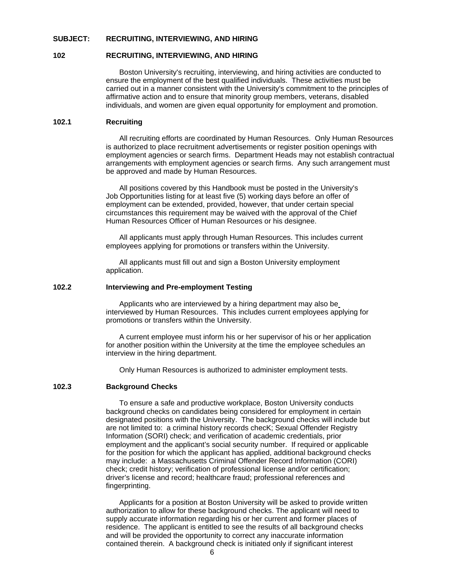#### **SUBJECT: RECRUITING, INTERVIEWING, AND HIRING**

#### **102 RECRUITING, INTERVIEWING, AND HIRING**

 Boston University's recruiting, interviewing, and hiring activities are conducted to ensure the employment of the best qualified individuals. These activities must be carried out in a manner consistent with the University's commitment to the principles of affirmative action and to ensure that minority group members, veterans, disabled individuals, and women are given equal opportunity for employment and promotion.

#### **102.1 Recruiting**

 All recruiting efforts are coordinated by Human Resources. Only Human Resources is authorized to place recruitment advertisements or register position openings with employment agencies or search firms. Department Heads may not establish contractual arrangements with employment agencies or search firms. Any such arrangement must be approved and made by Human Resources.

 All positions covered by this Handbook must be posted in the University's Job Opportunities listing for at least five (5) working days before an offer of employment can be extended, provided, however, that under certain special circumstances this requirement may be waived with the approval of the Chief Human Resources Officer of Human Resources or his designee.

 All applicants must apply through Human Resources. This includes current employees applying for promotions or transfers within the University.

 All applicants must fill out and sign a Boston University employment application.

## **102.2 Interviewing and Pre-employment Testing**

 Applicants who are interviewed by a hiring department may also be interviewed by Human Resources. This includes current employees applying for promotions or transfers within the University.

 A current employee must inform his or her supervisor of his or her application for another position within the University at the time the employee schedules an interview in the hiring department.

Only Human Resources is authorized to administer employment tests.

#### **102.3 Background Checks**

To ensure a safe and productive workplace, Boston University conducts background checks on candidates being considered for employment in certain designated positions with the University. The background checks will include but are not limited to: a criminal history records checK; Sexual Offender Registry Information (SORI) check; and verification of academic credentials, prior employment and the applicant's social security number. If required or applicable for the position for which the applicant has applied, additional background checks may include: a Massachusetts Criminal Offender Record Information (CORI) check; credit history; verification of professional license and/or certification; driver's license and record; healthcare fraud; professional references and fingerprinting.

Applicants for a position at Boston University will be asked to provide written authorization to allow for these background checks. The applicant will need to supply accurate information regarding his or her current and former places of residence. The applicant is entitled to see the results of all background checks and will be provided the opportunity to correct any inaccurate information contained therein. A background check is initiated only if significant interest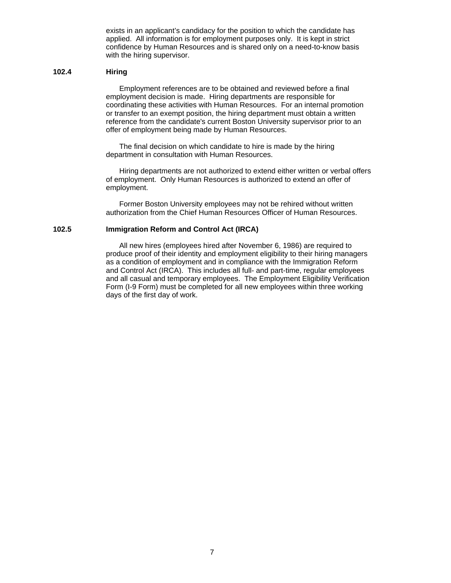exists in an applicant's candidacy for the position to which the candidate has applied. All information is for employment purposes only. It is kept in strict confidence by Human Resources and is shared only on a need-to-know basis with the hiring supervisor.

#### **102.4 Hiring**

 Employment references are to be obtained and reviewed before a final employment decision is made. Hiring departments are responsible for coordinating these activities with Human Resources. For an internal promotion or transfer to an exempt position, the hiring department must obtain a written reference from the candidate's current Boston University supervisor prior to an offer of employment being made by Human Resources.

 The final decision on which candidate to hire is made by the hiring department in consultation with Human Resources.

 Hiring departments are not authorized to extend either written or verbal offers of employment. Only Human Resources is authorized to extend an offer of employment.

 Former Boston University employees may not be rehired without written authorization from the Chief Human Resources Officer of Human Resources.

#### **102.5 Immigration Reform and Control Act (IRCA)**

 All new hires (employees hired after November 6, 1986) are required to produce proof of their identity and employment eligibility to their hiring managers as a condition of employment and in compliance with the Immigration Reform and Control Act (IRCA). This includes all full- and part-time, regular employees and all casual and temporary employees. The Employment Eligibility Verification Form (I-9 Form) must be completed for all new employees within three working days of the first day of work.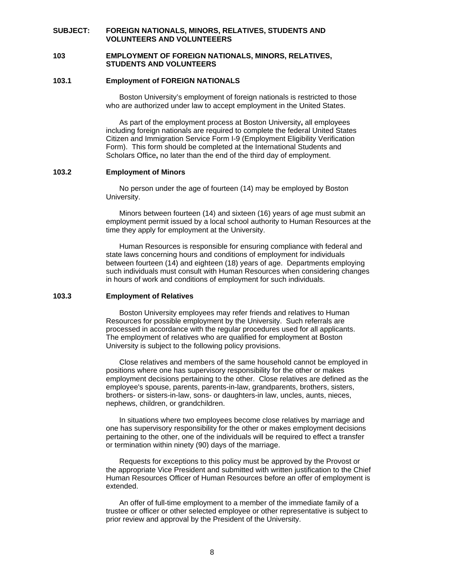## **SUBJECT: FOREIGN NATIONALS, MINORS, RELATIVES, STUDENTS AND VOLUNTEERS AND VOLUNTEEERS**

#### **103 EMPLOYMENT OF FOREIGN NATIONALS, MINORS, RELATIVES, STUDENTS AND VOLUNTEERS**

## **103.1 Employment of FOREIGN NATIONALS**

 Boston University's employment of foreign nationals is restricted to those who are authorized under law to accept employment in the United States.

 As part of the employment process at Boston University**,** all employees including foreign nationals are required to complete the federal United States Citizen and Immigration Service Form I-9 (Employment Eligibility Verification Form). This form should be completed at the International Students and Scholars Office**,** no later than the end of the third day of employment.

#### **103.2 Employment of Minors**

 No person under the age of fourteen (14) may be employed by Boston University.

 Minors between fourteen (14) and sixteen (16) years of age must submit an employment permit issued by a local school authority to Human Resources at the time they apply for employment at the University.

 Human Resources is responsible for ensuring compliance with federal and state laws concerning hours and conditions of employment for individuals between fourteen (14) and eighteen (18) years of age. Departments employing such individuals must consult with Human Resources when considering changes in hours of work and conditions of employment for such individuals.

#### **103.3 Employment of Relatives**

 Boston University employees may refer friends and relatives to Human Resources for possible employment by the University. Such referrals are processed in accordance with the regular procedures used for all applicants. The employment of relatives who are qualified for employment at Boston University is subject to the following policy provisions.

 Close relatives and members of the same household cannot be employed in positions where one has supervisory responsibility for the other or makes employment decisions pertaining to the other. Close relatives are defined as the employee's spouse, parents, parents-in-law, grandparents, brothers, sisters, brothers- or sisters-in-law, sons- or daughters-in law, uncles, aunts, nieces, nephews, children, or grandchildren.

 In situations where two employees become close relatives by marriage and one has supervisory responsibility for the other or makes employment decisions pertaining to the other, one of the individuals will be required to effect a transfer or termination within ninety (90) days of the marriage.

 Requests for exceptions to this policy must be approved by the Provost or the appropriate Vice President and submitted with written justification to the Chief Human Resources Officer of Human Resources before an offer of employment is extended.

 An offer of full-time employment to a member of the immediate family of a trustee or officer or other selected employee or other representative is subject to prior review and approval by the President of the University.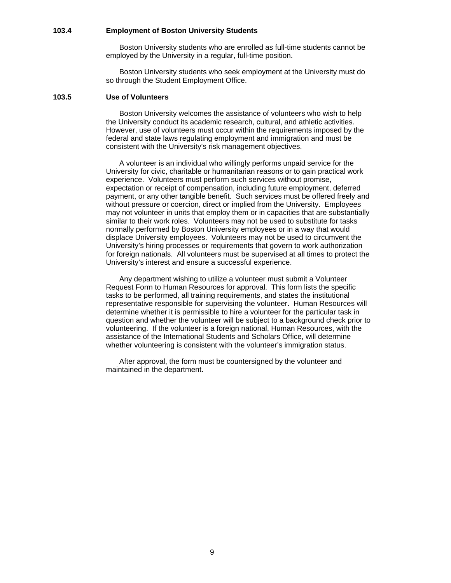#### **103.4 Employment of Boston University Students**

 Boston University students who are enrolled as full-time students cannot be employed by the University in a regular, full-time position.

 Boston University students who seek employment at the University must do so through the Student Employment Office.

#### **103.5 Use of Volunteers**

Boston University welcomes the assistance of volunteers who wish to help the University conduct its academic research, cultural, and athletic activities. However, use of volunteers must occur within the requirements imposed by the federal and state laws regulating employment and immigration and must be consistent with the University's risk management objectives.

 A volunteer is an individual who willingly performs unpaid service for the University for civic, charitable or humanitarian reasons or to gain practical work experience. Volunteers must perform such services without promise, expectation or receipt of compensation, including future employment, deferred payment, or any other tangible benefit. Such services must be offered freely and without pressure or coercion, direct or implied from the University. Employees may not volunteer in units that employ them or in capacities that are substantially similar to their work roles. Volunteers may not be used to substitute for tasks normally performed by Boston University employees or in a way that would displace University employees. Volunteers may not be used to circumvent the University's hiring processes or requirements that govern to work authorization for foreign nationals. All volunteers must be supervised at all times to protect the University's interest and ensure a successful experience.

Any department wishing to utilize a volunteer must submit a Volunteer Request Form to Human Resources for approval. This form lists the specific tasks to be performed, all training requirements, and states the institutional representative responsible for supervising the volunteer. Human Resources will determine whether it is permissible to hire a volunteer for the particular task in question and whether the volunteer will be subject to a background check prior to volunteering. If the volunteer is a foreign national, Human Resources, with the assistance of the International Students and Scholars Office, will determine whether volunteering is consistent with the volunteer's immigration status.

 After approval, the form must be countersigned by the volunteer and maintained in the department.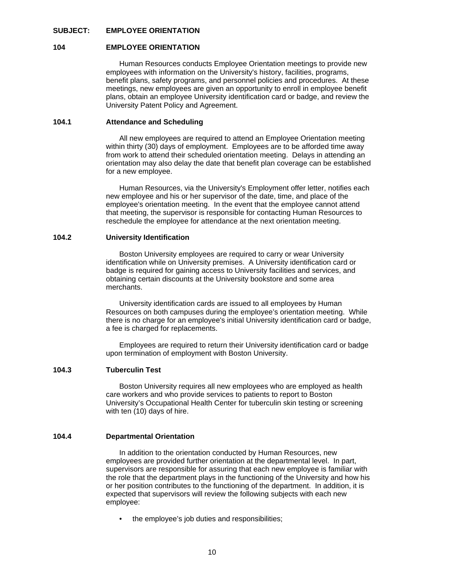#### **SUBJECT: EMPLOYEE ORIENTATION**

#### **104 EMPLOYEE ORIENTATION**

 Human Resources conducts Employee Orientation meetings to provide new employees with information on the University's history, facilities, programs, benefit plans, safety programs, and personnel policies and procedures. At these meetings, new employees are given an opportunity to enroll in employee benefit plans, obtain an employee University identification card or badge, and review the University Patent Policy and Agreement.

## **104.1 Attendance and Scheduling**

 All new employees are required to attend an Employee Orientation meeting within thirty (30) days of employment. Employees are to be afforded time away from work to attend their scheduled orientation meeting. Delays in attending an orientation may also delay the date that benefit plan coverage can be established for a new employee.

 Human Resources, via the University's Employment offer letter, notifies each new employee and his or her supervisor of the date, time, and place of the employee's orientation meeting. In the event that the employee cannot attend that meeting, the supervisor is responsible for contacting Human Resources to reschedule the employee for attendance at the next orientation meeting.

#### **104.2 University Identification**

 Boston University employees are required to carry or wear University identification while on University premises. A University identification card or badge is required for gaining access to University facilities and services, and obtaining certain discounts at the University bookstore and some area merchants.

 University identification cards are issued to all employees by Human Resources on both campuses during the employee's orientation meeting. While there is no charge for an employee's initial University identification card or badge, a fee is charged for replacements.

 Employees are required to return their University identification card or badge upon termination of employment with Boston University.

#### **104.3 Tuberculin Test**

 Boston University requires all new employees who are employed as health care workers and who provide services to patients to report to Boston University's Occupational Health Center for tuberculin skin testing or screening with ten (10) days of hire.

#### **104.4 Departmental Orientation**

 In addition to the orientation conducted by Human Resources, new employees are provided further orientation at the departmental level. In part, supervisors are responsible for assuring that each new employee is familiar with the role that the department plays in the functioning of the University and how his or her position contributes to the functioning of the department. In addition, it is expected that supervisors will review the following subjects with each new employee:

the employee's job duties and responsibilities;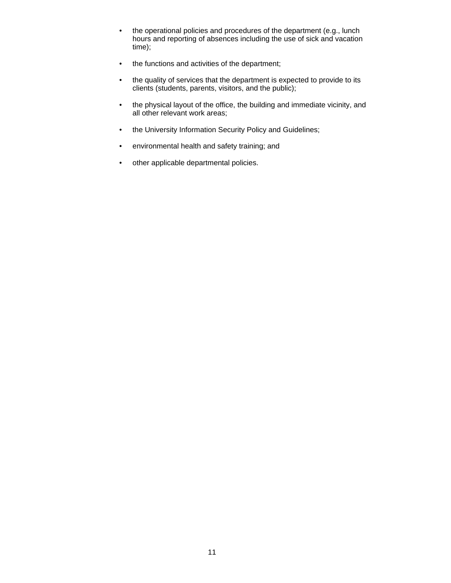- the operational policies and procedures of the department (e.g., lunch hours and reporting of absences including the use of sick and vacation time);
- the functions and activities of the department;
- the quality of services that the department is expected to provide to its clients (students, parents, visitors, and the public);
- the physical layout of the office, the building and immediate vicinity, and all other relevant work areas;
- the University Information Security Policy and Guidelines;
- environmental health and safety training; and
- other applicable departmental policies.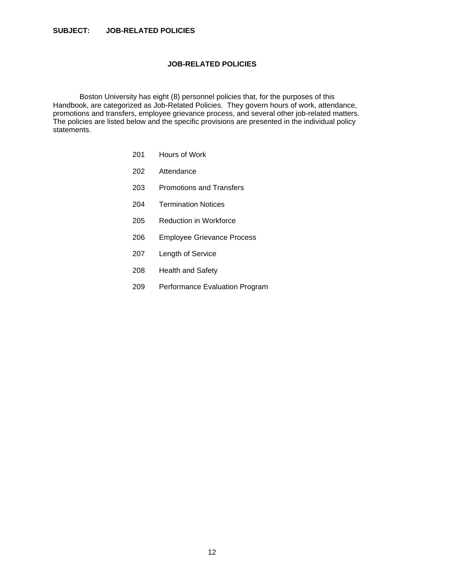## **JOB-RELATED POLICIES**

 Boston University has eight (8) personnel policies that, for the purposes of this Handbook, are categorized as Job-Related Policies. They govern hours of work, attendance, promotions and transfers, employee grievance process, and several other job-related matters. The policies are listed below and the specific provisions are presented in the individual policy statements.

- 201 Hours of Work
- 202 Attendance
- 203 Promotions and Transfers
- 204 Termination Notices
- 205 Reduction in Workforce
- 206 Employee Grievance Process
- 207 Length of Service
- 208 Health and Safety
- 209 Performance Evaluation Program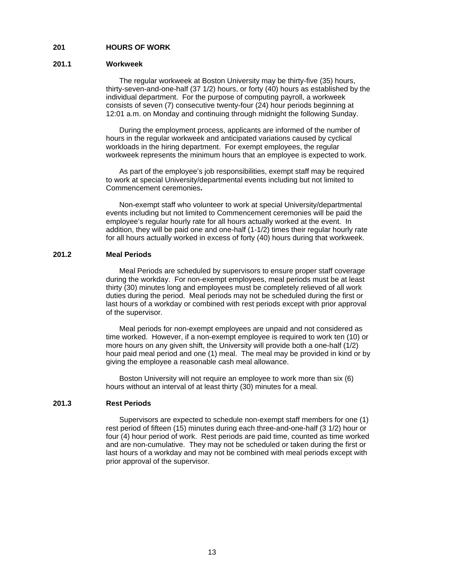#### **201 HOURS OF WORK**

#### **201.1 Workweek**

 The regular workweek at Boston University may be thirty-five (35) hours, thirty-seven-and-one-half (37 1/2) hours, or forty (40) hours as established by the individual department. For the purpose of computing payroll, a workweek consists of seven (7) consecutive twenty-four (24) hour periods beginning at 12:01 a.m. on Monday and continuing through midnight the following Sunday.

 During the employment process, applicants are informed of the number of hours in the regular workweek and anticipated variations caused by cyclical workloads in the hiring department.For exempt employees, the regular workweek represents the minimum hours that an employee is expected to work.

As part of the employee's job responsibilities, exempt staff may be required to work at special University/departmental events including but not limited to Commencement ceremonies**.** 

 Non-exempt staff who volunteer to work at special University/departmental events including but not limited to Commencement ceremonies will be paid the employee's regular hourly rate for all hours actually worked at the event. In addition, they will be paid one and one-half (1-1/2) times their regular hourly rate for all hours actually worked in excess of forty (40) hours during that workweek.

#### **201.2 Meal Periods**

 Meal Periods are scheduled by supervisors to ensure proper staff coverage during the workday. For non-exempt employees, meal periods must be at least thirty (30) minutes long and employees must be completely relieved of all work duties during the period. Meal periods may not be scheduled during the first or last hours of a workday or combined with rest periods except with prior approval of the supervisor.

 Meal periods for non-exempt employees are unpaid and not considered as time worked. However, if a non-exempt employee is required to work ten (10) or more hours on any given shift, the University will provide both a one-half (1/2) hour paid meal period and one (1) meal. The meal may be provided in kind or by giving the employee a reasonable cash meal allowance.

 Boston University will not require an employee to work more than six (6) hours without an interval of at least thirty (30) minutes for a meal.

#### **201.3 Rest Periods**

 Supervisors are expected to schedule non-exempt staff members for one (1) rest period of fifteen (15) minutes during each three-and-one-half (3 1/2) hour or four (4) hour period of work. Rest periods are paid time, counted as time worked and are non-cumulative. They may not be scheduled or taken during the first or last hours of a workday and may not be combined with meal periods except with prior approval of the supervisor.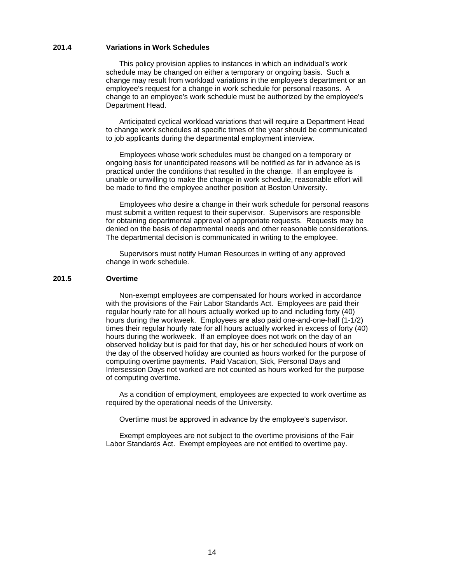#### **201.4 Variations in Work Schedules**

 This policy provision applies to instances in which an individual's work schedule may be changed on either a temporary or ongoing basis. Such a change may result from workload variations in the employee's department or an employee's request for a change in work schedule for personal reasons. A change to an employee's work schedule must be authorized by the employee's Department Head.

 Anticipated cyclical workload variations that will require a Department Head to change work schedules at specific times of the year should be communicated to job applicants during the departmental employment interview.

 Employees whose work schedules must be changed on a temporary or ongoing basis for unanticipated reasons will be notified as far in advance as is practical under the conditions that resulted in the change. If an employee is unable or unwilling to make the change in work schedule, reasonable effort will be made to find the employee another position at Boston University.

 Employees who desire a change in their work schedule for personal reasons must submit a written request to their supervisor. Supervisors are responsible for obtaining departmental approval of appropriate requests. Requests may be denied on the basis of departmental needs and other reasonable considerations. The departmental decision is communicated in writing to the employee.

 Supervisors must notify Human Resources in writing of any approved change in work schedule.

## **201.5 Overtime**

 Non-exempt employees are compensated for hours worked in accordance with the provisions of the Fair Labor Standards Act. Employees are paid their regular hourly rate for all hours actually worked up to and including forty (40) hours during the workweek. Employees are also paid one-and-one-half (1-1/2) times their regular hourly rate for all hours actually worked in excess of forty (40) hours during the workweek. If an employee does not work on the day of an observed holiday but is paid for that day, his or her scheduled hours of work on the day of the observed holiday are counted as hours worked for the purpose of computing overtime payments. Paid Vacation, Sick, Personal Days and Intersession Days not worked are not counted as hours worked for the purpose of computing overtime.

 As a condition of employment, employees are expected to work overtime as required by the operational needs of the University.

Overtime must be approved in advance by the employee's supervisor.

 Exempt employees are not subject to the overtime provisions of the Fair Labor Standards Act. Exempt employees are not entitled to overtime pay.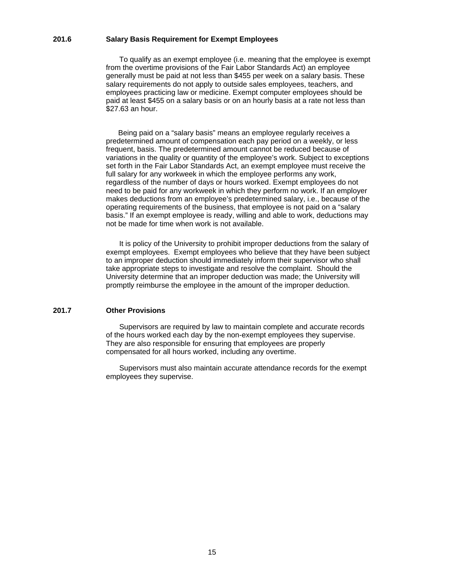#### **201.6 Salary Basis Requirement for Exempt Employees**

To qualify as an exempt employee (i.e. meaning that the employee is exempt from the overtime provisions of the Fair Labor Standards Act) an employee generally must be paid at not less than \$455 per week on a salary basis. These salary requirements do not apply to outside sales employees, teachers, and employees practicing law or medicine. Exempt computer employees should be paid at least \$455 on a salary basis or on an hourly basis at a rate not less than \$27.63 an hour.

 Being paid on a "salary basis" means an employee regularly receives a predetermined amount of compensation each pay period on a weekly, or less frequent, basis. The predetermined amount cannot be reduced because of variations in the quality or quantity of the employee's work. Subject to exceptions set forth in the Fair Labor Standards Act, an exempt employee must receive the full salary for any workweek in which the employee performs any work, regardless of the number of days or hours worked. Exempt employees do not need to be paid for any workweek in which they perform no work. If an employer makes deductions from an employee's predetermined salary, i.e., because of the operating requirements of the business, that employee is not paid on a "salary basis." If an exempt employee is ready, willing and able to work, deductions may not be made for time when work is not available.

 It is policy of the University to prohibit improper deductions from the salary of exempt employees. Exempt employees who believe that they have been subject to an improper deduction should immediately inform their supervisor who shall take appropriate steps to investigate and resolve the complaint. Should the University determine that an improper deduction was made; the University will promptly reimburse the employee in the amount of the improper deduction.

#### **201.7 Other Provisions**

 Supervisors are required by law to maintain complete and accurate records of the hours worked each day by the non-exempt employees they supervise. They are also responsible for ensuring that employees are properly compensated for all hours worked, including any overtime.

 Supervisors must also maintain accurate attendance records for the exempt employees they supervise.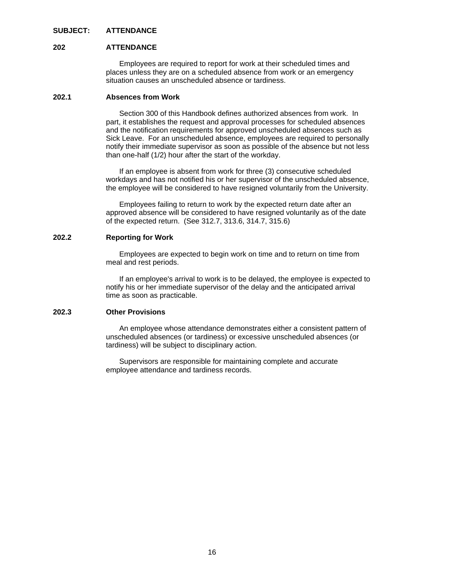### **SUBJECT: ATTENDANCE**

#### **202 ATTENDANCE**

 Employees are required to report for work at their scheduled times and places unless they are on a scheduled absence from work or an emergency situation causes an unscheduled absence or tardiness.

## **202.1 Absences from Work**

 Section 300 of this Handbook defines authorized absences from work. In part, it establishes the request and approval processes for scheduled absences and the notification requirements for approved unscheduled absences such as Sick Leave. For an unscheduled absence, employees are required to personally notify their immediate supervisor as soon as possible of the absence but not less than one-half (1/2) hour after the start of the workday.

 If an employee is absent from work for three (3) consecutive scheduled workdays and has not notified his or her supervisor of the unscheduled absence, the employee will be considered to have resigned voluntarily from the University.

 Employees failing to return to work by the expected return date after an approved absence will be considered to have resigned voluntarily as of the date of the expected return. (See 312.7, 313.6, 314.7, 315.6)

## **202.2 Reporting for Work**

 Employees are expected to begin work on time and to return on time from meal and rest periods.

 If an employee's arrival to work is to be delayed, the employee is expected to notify his or her immediate supervisor of the delay and the anticipated arrival time as soon as practicable.

## **202.3 Other Provisions**

 An employee whose attendance demonstrates either a consistent pattern of unscheduled absences (or tardiness) or excessive unscheduled absences (or tardiness) will be subject to disciplinary action.

 Supervisors are responsible for maintaining complete and accurate employee attendance and tardiness records.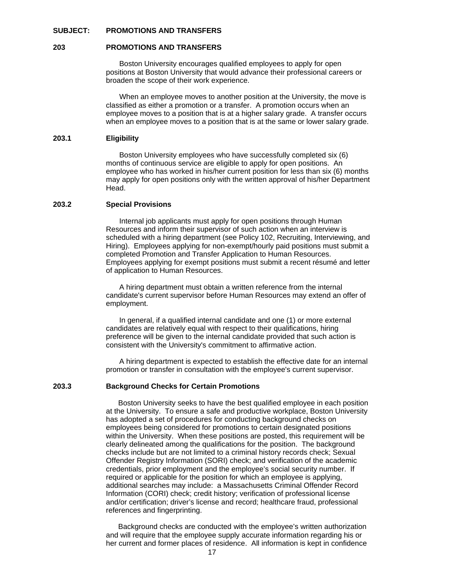#### **SUBJECT: PROMOTIONS AND TRANSFERS**

#### **203 PROMOTIONS AND TRANSFERS**

 Boston University encourages qualified employees to apply for open positions at Boston University that would advance their professional careers or broaden the scope of their work experience.

 When an employee moves to another position at the University, the move is classified as either a promotion or a transfer. A promotion occurs when an employee moves to a position that is at a higher salary grade. A transfer occurs when an employee moves to a position that is at the same or lower salary grade.

#### **203.1 Eligibility**

 Boston University employees who have successfully completed six (6) months of continuous service are eligible to apply for open positions.An employee who has worked in his/her current position for less than six (6) months may apply for open positions only with the written approval of his/her Department Head.

## **203.2 Special Provisions**

 Internal job applicants must apply for open positions through Human Resources and inform their supervisor of such action when an interview is scheduled with a hiring department (see Policy 102, Recruiting, Interviewing, and Hiring). Employees applying for non-exempt/hourly paid positions must submit a completed Promotion and Transfer Application to Human Resources. Employees applying for exempt positions must submit a recent résumé and letter of application to Human Resources.

 A hiring department must obtain a written reference from the internal candidate's current supervisor before Human Resources may extend an offer of employment.

 In general, if a qualified internal candidate and one (1) or more external candidates are relatively equal with respect to their qualifications, hiring preference will be given to the internal candidate provided that such action is consistent with the University's commitment to affirmative action.

 A hiring department is expected to establish the effective date for an internal promotion or transfer in consultation with the employee's current supervisor.

#### **203.3 Background Checks for Certain Promotions**

 Boston University seeks to have the best qualified employee in each position at the University. To ensure a safe and productive workplace, Boston University has adopted a set of procedures for conducting background checks on employees being considered for promotions to certain designated positions within the University. When these positions are posted, this requirement will be clearly delineated among the qualifications for the position. The background checks include but are not limited to a criminal history records check; Sexual Offender Registry Information (SORI) check; and verification of the academic credentials, prior employment and the employee's social security number. If required or applicable for the position for which an employee is applying, additional searches may include: a Massachusetts Criminal Offender Record Information (CORI) check; credit history; verification of professional license and/or certification; driver's license and record; healthcare fraud, professional references and fingerprinting.

 Background checks are conducted with the employee's written authorization and will require that the employee supply accurate information regarding his or her current and former places of residence. All information is kept in confidence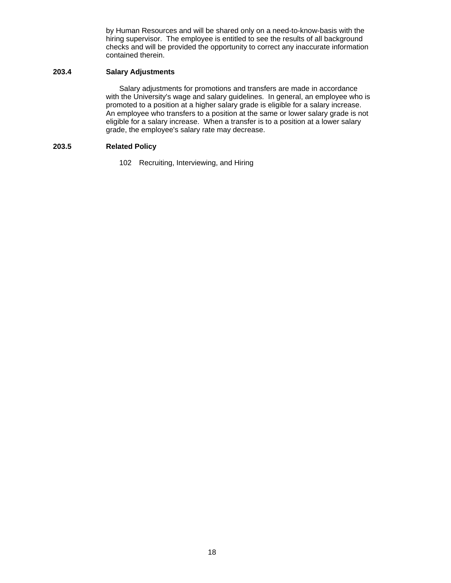by Human Resources and will be shared only on a need-to-know-basis with the hiring supervisor. The employee is entitled to see the results of all background checks and will be provided the opportunity to correct any inaccurate information contained therein.

#### **203.4 Salary Adjustments**

 Salary adjustments for promotions and transfers are made in accordance with the University's wage and salary guidelines. In general, an employee who is promoted to a position at a higher salary grade is eligible for a salary increase. An employee who transfers to a position at the same or lower salary grade is not eligible for a salary increase. When a transfer is to a position at a lower salary grade, the employee's salary rate may decrease.

## **203.5 Related Policy**

102 Recruiting, Interviewing, and Hiring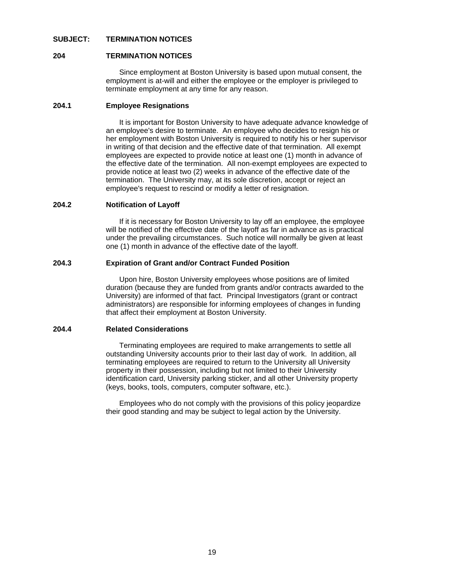#### **SUBJECT: TERMINATION NOTICES**

#### **204 TERMINATION NOTICES**

Since employment at Boston University is based upon mutual consent, the employment is at-will and either the employee or the employer is privileged to terminate employment at any time for any reason.

## **204.1 Employee Resignations**

 It is important for Boston University to have adequate advance knowledge of an employee's desire to terminate. An employee who decides to resign his or her employment with Boston University is required to notify his or her supervisor in writing of that decision and the effective date of that termination. All exempt employees are expected to provide notice at least one (1) month in advance of the effective date of the termination. All non-exempt employees are expected to provide notice at least two (2) weeks in advance of the effective date of the termination. The University may, at its sole discretion, accept or reject an employee's request to rescind or modify a letter of resignation.

#### **204.2 Notification of Layoff**

 If it is necessary for Boston University to lay off an employee, the employee will be notified of the effective date of the layoff as far in advance as is practical under the prevailing circumstances. Such notice will normally be given at least one (1) month in advance of the effective date of the layoff.

## **204.3 Expiration of Grant and/or Contract Funded Position**

 Upon hire, Boston University employees whose positions are of limited duration (because they are funded from grants and/or contracts awarded to the University) are informed of that fact. Principal Investigators (grant or contract administrators) are responsible for informing employees of changes in funding that affect their employment at Boston University.

#### **204.4 Related Considerations**

 Terminating employees are required to make arrangements to settle all outstanding University accounts prior to their last day of work. In addition, all terminating employees are required to return to the University all University property in their possession, including but not limited to their University identification card, University parking sticker, and all other University property (keys, books, tools, computers, computer software, etc.).

 Employees who do not comply with the provisions of this policy jeopardize their good standing and may be subject to legal action by the University.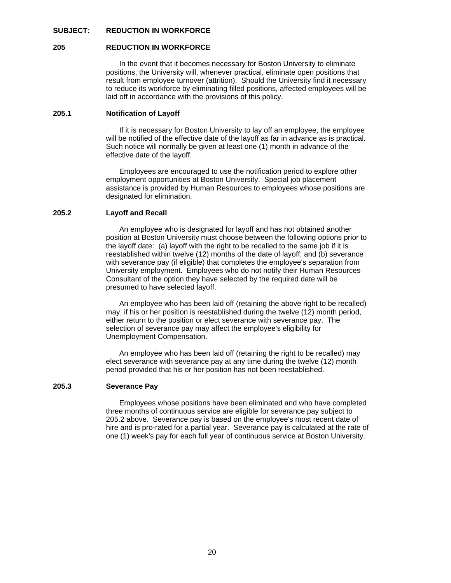### **SUBJECT: REDUCTION IN WORKFORCE**

#### **205 REDUCTION IN WORKFORCE**

 In the event that it becomes necessary for Boston University to eliminate positions, the University will, whenever practical, eliminate open positions that result from employee turnover (attrition). Should the University find it necessary to reduce its workforce by eliminating filled positions, affected employees will be laid off in accordance with the provisions of this policy.

## **205.1 Notification of Layoff**

 If it is necessary for Boston University to lay off an employee, the employee will be notified of the effective date of the layoff as far in advance as is practical. Such notice will normally be given at least one (1) month in advance of the effective date of the layoff.

 Employees are encouraged to use the notification period to explore other employment opportunities at Boston University. Special job placement assistance is provided by Human Resources to employees whose positions are designated for elimination.

#### **205.2 Layoff and Recall**

 An employee who is designated for layoff and has not obtained another position at Boston University must choose between the following options prior to the layoff date: (a) layoff with the right to be recalled to the same job if it is reestablished within twelve (12) months of the date of layoff; and (b) severance with severance pay (if eligible) that completes the employee's separation from University employment. Employees who do not notify their Human Resources Consultant of the option they have selected by the required date will be presumed to have selected layoff.

 An employee who has been laid off (retaining the above right to be recalled) may, if his or her position is reestablished during the twelve (12) month period, either return to the position or elect severance with severance pay. The selection of severance pay may affect the employee's eligibility for Unemployment Compensation.

 An employee who has been laid off (retaining the right to be recalled) may elect severance with severance pay at any time during the twelve (12) month period provided that his or her position has not been reestablished.

#### **205.3 Severance Pay**

 Employees whose positions have been eliminated and who have completed three months of continuous service are eligible for severance pay subject to 205.2 above. Severance pay is based on the employee's most recent date of hire and is pro-rated for a partial year. Severance pay is calculated at the rate of one (1) week's pay for each full year of continuous service at Boston University.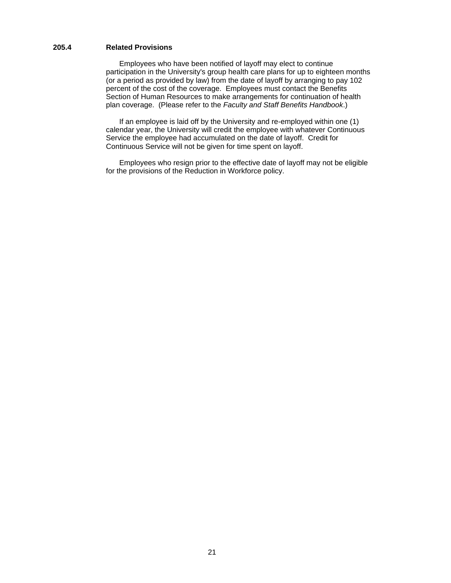## **205.4 Related Provisions**

 Employees who have been notified of layoff may elect to continue participation in the University's group health care plans for up to eighteen months (or a period as provided by law) from the date of layoff by arranging to pay 102 percent of the cost of the coverage. Employees must contact the Benefits Section of Human Resources to make arrangements for continuation of health plan coverage. (Please refer to the *Faculty and Staff Benefits Handbook*.)

 If an employee is laid off by the University and re-employed within one (1) calendar year, the University will credit the employee with whatever Continuous Service the employee had accumulated on the date of layoff. Credit for Continuous Service will not be given for time spent on layoff.

 Employees who resign prior to the effective date of layoff may not be eligible for the provisions of the Reduction in Workforce policy.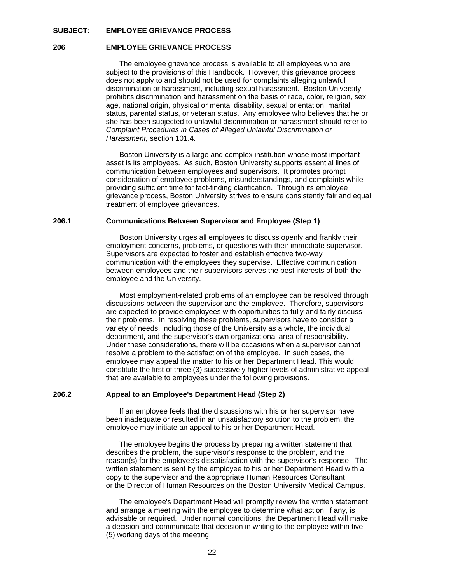#### **SUBJECT: EMPLOYEE GRIEVANCE PROCESS**

#### **206 EMPLOYEE GRIEVANCE PROCESS**

 The employee grievance process is available to all employees who are subject to the provisions of this Handbook. However, this grievance process does not apply to and should not be used for complaints alleging unlawful discrimination or harassment, including sexual harassment. Boston University prohibits discrimination and harassment on the basis of race, color, religion, sex, age, national origin, physical or mental disability, sexual orientation, marital status, parental status, or veteran status. Any employee who believes that he or she has been subjected to unlawful discrimination or harassment should refer to *Complaint Procedures in Cases of Alleged Unlawful Discrimination or Harassment,* section 101.4.

 Boston University is a large and complex institution whose most important asset is its employees. As such, Boston University supports essential lines of communication between employees and supervisors. It promotes prompt consideration of employee problems, misunderstandings, and complaints while providing sufficient time for fact-finding clarification. Through its employee grievance process, Boston University strives to ensure consistently fair and equal treatment of employee grievances.

#### **206.1 Communications Between Supervisor and Employee (Step 1)**

 Boston University urges all employees to discuss openly and frankly their employment concerns, problems, or questions with their immediate supervisor. Supervisors are expected to foster and establish effective two-way communication with the employees they supervise. Effective communication between employees and their supervisors serves the best interests of both the employee and the University.

 Most employment-related problems of an employee can be resolved through discussions between the supervisor and the employee. Therefore, supervisors are expected to provide employees with opportunities to fully and fairly discuss their problems. In resolving these problems, supervisors have to consider a variety of needs, including those of the University as a whole, the individual department, and the supervisor's own organizational area of responsibility. Under these considerations, there will be occasions when a supervisor cannot resolve a problem to the satisfaction of the employee. In such cases, the employee may appeal the matter to his or her Department Head. This would constitute the first of three (3) successively higher levels of administrative appeal that are available to employees under the following provisions.

#### **206.2 Appeal to an Employee's Department Head (Step 2)**

 If an employee feels that the discussions with his or her supervisor have been inadequate or resulted in an unsatisfactory solution to the problem, the employee may initiate an appeal to his or her Department Head.

 The employee begins the process by preparing a written statement that describes the problem, the supervisor's response to the problem, and the reason(s) for the employee's dissatisfaction with the supervisor's response. The written statement is sent by the employee to his or her Department Head with a copy to the supervisor and the appropriate Human Resources Consultant or the Director of Human Resources on the Boston University Medical Campus.

 The employee's Department Head will promptly review the written statement and arrange a meeting with the employee to determine what action, if any, is advisable or required. Under normal conditions, the Department Head will make a decision and communicate that decision in writing to the employee within five (5) working days of the meeting.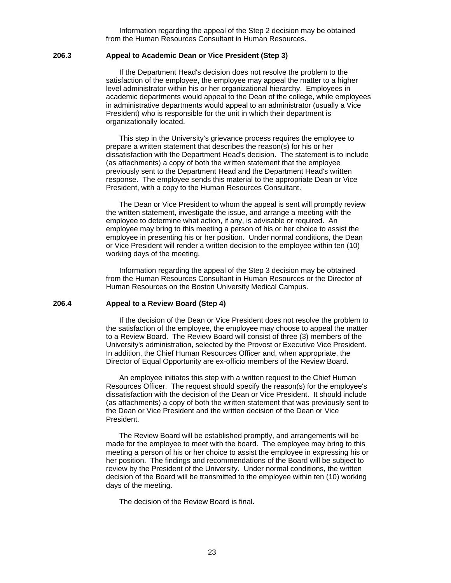Information regarding the appeal of the Step 2 decision may be obtained from the Human Resources Consultant in Human Resources.

#### **206.3 Appeal to Academic Dean or Vice President (Step 3)**

 If the Department Head's decision does not resolve the problem to the satisfaction of the employee, the employee may appeal the matter to a higher level administrator within his or her organizational hierarchy. Employees in academic departments would appeal to the Dean of the college, while employees in administrative departments would appeal to an administrator (usually a Vice President) who is responsible for the unit in which their department is organizationally located.

 This step in the University's grievance process requires the employee to prepare a written statement that describes the reason(s) for his or her dissatisfaction with the Department Head's decision. The statement is to include (as attachments) a copy of both the written statement that the employee previously sent to the Department Head and the Department Head's written response. The employee sends this material to the appropriate Dean or Vice President, with a copy to the Human Resources Consultant.

 The Dean or Vice President to whom the appeal is sent will promptly review the written statement, investigate the issue, and arrange a meeting with the employee to determine what action, if any, is advisable or required. An employee may bring to this meeting a person of his or her choice to assist the employee in presenting his or her position. Under normal conditions, the Dean or Vice President will render a written decision to the employee within ten (10) working days of the meeting.

 Information regarding the appeal of the Step 3 decision may be obtained from the Human Resources Consultant in Human Resources or the Director of Human Resources on the Boston University Medical Campus.

#### **206.4 Appeal to a Review Board (Step 4)**

 If the decision of the Dean or Vice President does not resolve the problem to the satisfaction of the employee, the employee may choose to appeal the matter to a Review Board. The Review Board will consist of three (3) members of the University's administration, selected by the Provost or Executive Vice President. In addition, the Chief Human Resources Officer and, when appropriate, the Director of Equal Opportunity are ex-officio members of the Review Board.

 An employee initiates this step with a written request to the Chief Human Resources Officer. The request should specify the reason(s) for the employee's dissatisfaction with the decision of the Dean or Vice President. It should include (as attachments) a copy of both the written statement that was previously sent to the Dean or Vice President and the written decision of the Dean or Vice President.

 The Review Board will be established promptly, and arrangements will be made for the employee to meet with the board. The employee may bring to this meeting a person of his or her choice to assist the employee in expressing his or her position. The findings and recommendations of the Board will be subject to review by the President of the University. Under normal conditions, the written decision of the Board will be transmitted to the employee within ten (10) working days of the meeting.

The decision of the Review Board is final.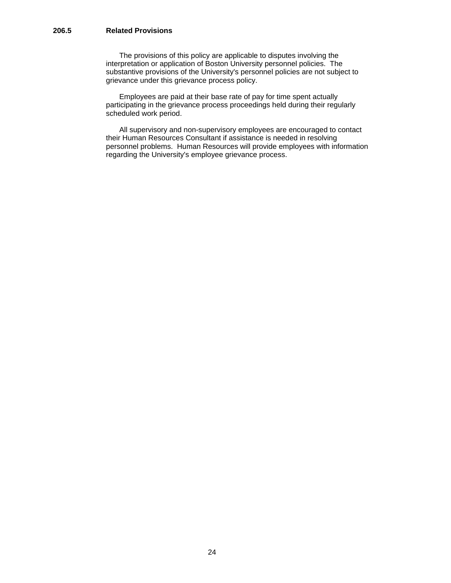## **206.5 Related Provisions**

 The provisions of this policy are applicable to disputes involving the interpretation or application of Boston University personnel policies. The substantive provisions of the University's personnel policies are not subject to grievance under this grievance process policy.

 Employees are paid at their base rate of pay for time spent actually participating in the grievance process proceedings held during their regularly scheduled work period.

 All supervisory and non-supervisory employees are encouraged to contact their Human Resources Consultant if assistance is needed in resolving personnel problems. Human Resources will provide employees with information regarding the University's employee grievance process.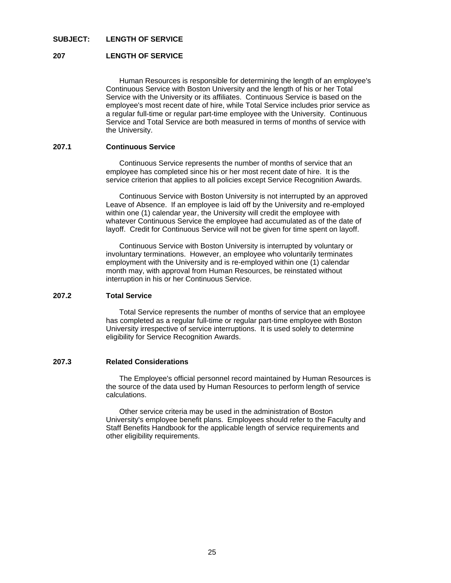## **SUBJECT: LENGTH OF SERVICE**

#### **207 LENGTH OF SERVICE**

 Human Resources is responsible for determining the length of an employee's Continuous Service with Boston University and the length of his or her Total Service with the University or its affiliates. Continuous Service is based on the employee's most recent date of hire, while Total Service includes prior service as a regular full-time or regular part-time employee with the University. Continuous Service and Total Service are both measured in terms of months of service with the University.

## **207.1 Continuous Service**

 Continuous Service represents the number of months of service that an employee has completed since his or her most recent date of hire. It is the service criterion that applies to all policies except Service Recognition Awards.

 Continuous Service with Boston University is not interrupted by an approved Leave of Absence. If an employee is laid off by the University and re-employed within one (1) calendar year, the University will credit the employee with whatever Continuous Service the employee had accumulated as of the date of layoff. Credit for Continuous Service will not be given for time spent on layoff.

 Continuous Service with Boston University is interrupted by voluntary or involuntary terminations. However, an employee who voluntarily terminates employment with the University and is re-employed within one (1) calendar month may, with approval from Human Resources, be reinstated without interruption in his or her Continuous Service.

#### **207.2 Total Service**

 Total Service represents the number of months of service that an employee has completed as a regular full-time or regular part-time employee with Boston University irrespective of service interruptions. It is used solely to determine eligibility for Service Recognition Awards.

#### **207.3 Related Considerations**

 The Employee's official personnel record maintained by Human Resources is the source of the data used by Human Resources to perform length of service calculations.

 Other service criteria may be used in the administration of Boston University's employee benefit plans. Employees should refer to the Faculty and Staff Benefits Handbook for the applicable length of service requirements and other eligibility requirements.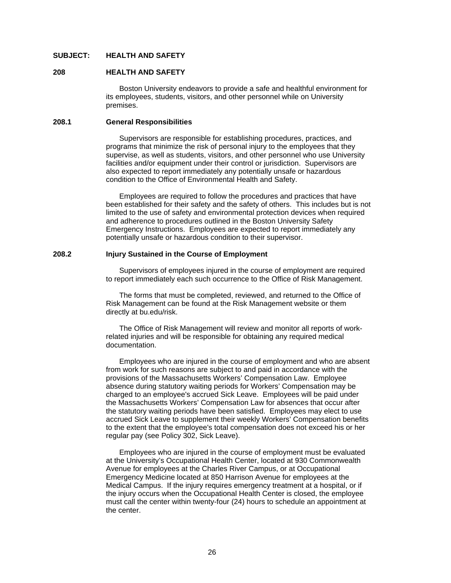### **SUBJECT: HEALTH AND SAFETY**

#### **208 HEALTH AND SAFETY**

 Boston University endeavors to provide a safe and healthful environment for its employees, students, visitors, and other personnel while on University premises.

## **208.1 General Responsibilities**

 Supervisors are responsible for establishing procedures, practices, and programs that minimize the risk of personal injury to the employees that they supervise, as well as students, visitors, and other personnel who use University facilities and/or equipment under their control or jurisdiction. Supervisors are also expected to report immediately any potentially unsafe or hazardous condition to the Office of Environmental Health and Safety.

 Employees are required to follow the procedures and practices that have been established for their safety and the safety of others. This includes but is not limited to the use of safety and environmental protection devices when required and adherence to procedures outlined in the Boston University Safety Emergency Instructions.Employees are expected to report immediately any potentially unsafe or hazardous condition to their supervisor.

#### **208.2 Injury Sustained in the Course of Employment**

 Supervisors of employees injured in the course of employment are required to report immediately each such occurrence to the Office of Risk Management.

 The forms that must be completed, reviewed, and returned to the Office of Risk Management can be found at the Risk Management website or them directly at bu.edu/risk.

 The Office of Risk Management will review and monitor all reports of workrelated injuries and will be responsible for obtaining any required medical documentation.

 Employees who are injured in the course of employment and who are absent from work for such reasons are subject to and paid in accordance with the provisions of the Massachusetts Workers' Compensation Law. Employee absence during statutory waiting periods for Workers' Compensation may be charged to an employee's accrued Sick Leave. Employees will be paid under the Massachusetts Workers' Compensation Law for absences that occur after the statutory waiting periods have been satisfied. Employees may elect to use accrued Sick Leave to supplement their weekly Workers' Compensation benefits to the extent that the employee's total compensation does not exceed his or her regular pay (see Policy 302, Sick Leave).

 Employees who are injured in the course of employment must be evaluated at the University's Occupational Health Center, located at 930 Commonwealth Avenue for employees at the Charles River Campus, or at Occupational Emergency Medicine located at 850 Harrison Avenue for employees at the Medical Campus. If the injury requires emergency treatment at a hospital, or if the injury occurs when the Occupational Health Center is closed, the employee must call the center within twenty-four (24) hours to schedule an appointment at the center.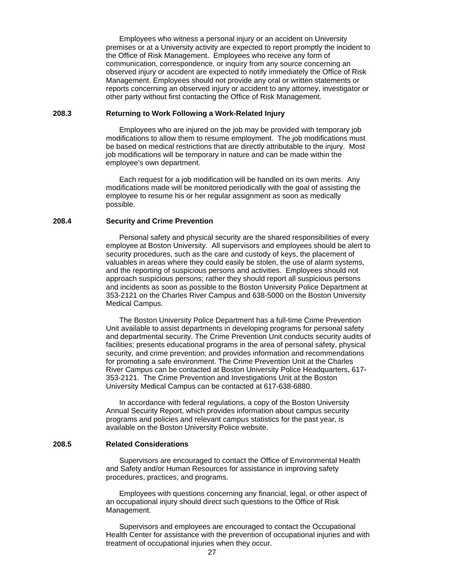Employees who witness a personal injury or an accident on University premises or at a University activity are expected to report promptly the incident to the Office of Risk Management. Employees who receive any form of communication, correspondence, or inquiry from any source concerning an observed injury or accident are expected to notify immediately the Office of Risk Management. Employees should not provide any oral or written statements or reports concerning an observed injury or accident to any attorney, investigator or other party without first contacting the Office of Risk Management.

## **208.3 Returning to Work Following a Work-Related Injury**

 Employees who are injured on the job may be provided with temporary job modifications to allow them to resume employment. The job modifications must be based on medical restrictions that are directly attributable to the injury. Most job modifications will be temporary in nature and can be made within the employee's own department.

 Each request for a job modification will be handled on its own merits. Any modifications made will be monitored periodically with the goal of assisting the employee to resume his or her regular assignment as soon as medically possible.

#### **208.4 Security and Crime Prevention**

 Personal safety and physical security are the shared responsibilities of every employee at Boston University. All supervisors and employees should be alert to security procedures, such as the care and custody of keys, the placement of valuables in areas where they could easily be stolen, the use of alarm systems, and the reporting of suspicious persons and activities. Employees should not approach suspicious persons; rather they should report all suspicious persons and incidents as soon as possible to the Boston University Police Department at 353-2121 on the Charles River Campus and 638-5000 on the Boston University Medical Campus.

 The Boston University Police Department has a full-time Crime Prevention Unit available to assist departments in developing programs for personal safety and departmental security. The Crime Prevention Unit conducts security audits of facilities; presents educational programs in the area of personal safety, physical security, and crime prevention; and provides information and recommendations for promoting a safe environment. The Crime Prevention Unit at the Charles River Campus can be contacted at Boston University Police Headquarters, 617- 353-2121. The Crime Prevention and Investigations Unit at the Boston University Medical Campus can be contacted at 617-638-6880.

 In accordance with federal regulations, a copy of the Boston University Annual Security Report, which provides information about campus security programs and policies and relevant campus statistics for the past year, is available on the Boston University Police website.

#### **208.5 Related Considerations**

 Supervisors are encouraged to contact the Office of Environmental Health and Safety and/or Human Resources for assistance in improving safety procedures, practices, and programs.

 Employees with questions concerning any financial, legal, or other aspect of an occupational injury should direct such questions to the Office of Risk Management.

 Supervisors and employees are encouraged to contact the Occupational Health Center for assistance with the prevention of occupational injuries and with treatment of occupational injuries when they occur.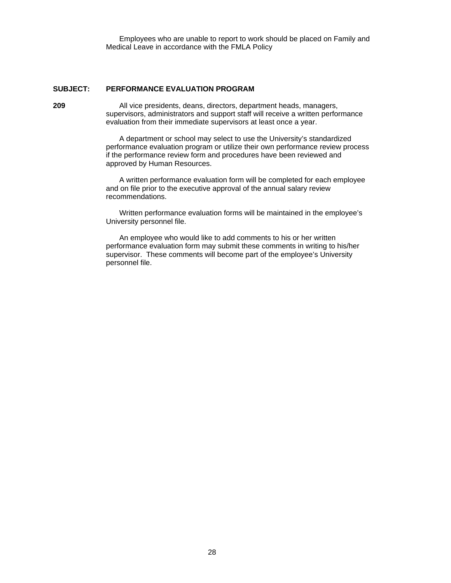Employees who are unable to report to work should be placed on Family and Medical Leave in accordance with the FMLA Policy

## **SUBJECT: PERFORMANCE EVALUATION PROGRAM**

**209** All vice presidents, deans, directors, department heads, managers, supervisors, administrators and support staff will receive a written performance evaluation from their immediate supervisors at least once a year.

> A department or school may select to use the University's standardized performance evaluation program or utilize their own performance review process if the performance review form and procedures have been reviewed and approved by Human Resources.

 A written performance evaluation form will be completed for each employee and on file prior to the executive approval of the annual salary review recommendations.

 Written performance evaluation forms will be maintained in the employee's University personnel file.

 An employee who would like to add comments to his or her written performance evaluation form may submit these comments in writing to his/her supervisor. These comments will become part of the employee's University personnel file.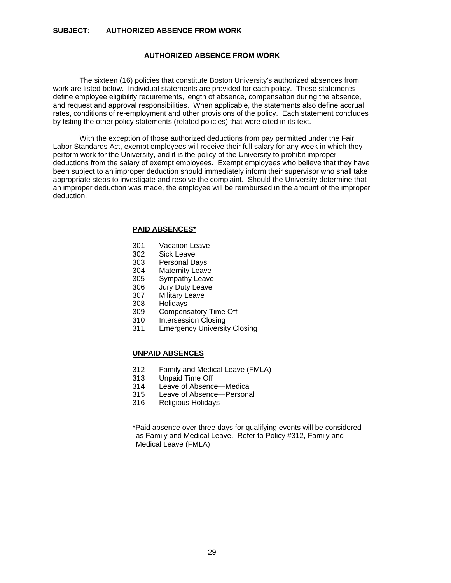#### **SUBJECT: AUTHORIZED ABSENCE FROM WORK**

## **AUTHORIZED ABSENCE FROM WORK**

 The sixteen (16) policies that constitute Boston University's authorized absences from work are listed below. Individual statements are provided for each policy. These statements define employee eligibility requirements, length of absence, compensation during the absence, and request and approval responsibilities. When applicable, the statements also define accrual rates, conditions of re-employment and other provisions of the policy. Each statement concludes by listing the other policy statements (related policies) that were cited in its text.

 With the exception of those authorized deductions from pay permitted under the Fair Labor Standards Act, exempt employees will receive their full salary for any week in which they perform work for the University, and it is the policy of the University to prohibit improper deductions from the salary of exempt employees. Exempt employees who believe that they have been subject to an improper deduction should immediately inform their supervisor who shall take appropriate steps to investigate and resolve the complaint. Should the University determine that an improper deduction was made, the employee will be reimbursed in the amount of the improper deduction.

#### **PAID ABSENCES\***

- 301 Vacation Leave
- 302 Sick Leave
- 303 Personal Days
- 304 Maternity Leave<br>305 Sympathy Leave
- 305 Sympathy Leave<br>306 Jury Duty Leave
- 306 Jury Duty Leave<br>307 Military Leave
- **Military Leave**
- 308 Holidays
- 309 Compensatory Time Off
- 310 Intersession Closing
- 311 Emergency University Closing

## **UNPAID ABSENCES**

- 312 Family and Medical Leave (FMLA)
- 313 Unpaid Time Off
- 314 Leave of Absence—Medical
- 315 Leave of Absence—Personal
- 316 Religious Holidays

\*Paid absence over three days for qualifying events will be considered as Family and Medical Leave. Refer to Policy #312, Family and Medical Leave (FMLA)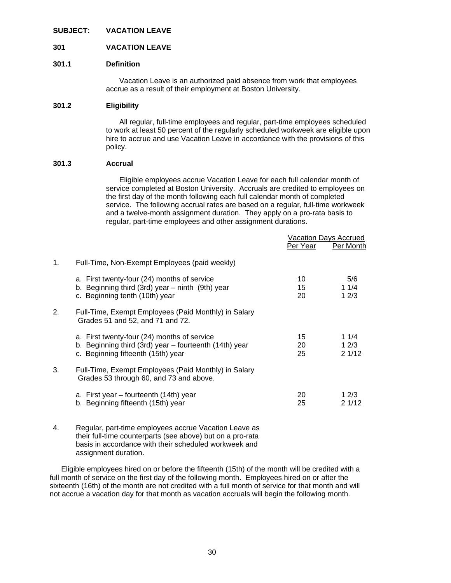#### **SUBJECT: VACATION LEAVE**

#### **301 VACATION LEAVE**

#### **301.1 Definition**

 Vacation Leave is an authorized paid absence from work that employees accrue as a result of their employment at Boston University.

## **301.2 Eligibility**

 All regular, full-time employees and regular, part-time employees scheduled to work at least 50 percent of the regularly scheduled workweek are eligible upon hire to accrue and use Vacation Leave in accordance with the provisions of this policy.

#### **301.3 Accrual**

 Eligible employees accrue Vacation Leave for each full calendar month of service completed at Boston University. Accruals are credited to employees on the first day of the month following each full calendar month of completed service. The following accrual rates are based on a regular, full-time workweek and a twelve-month assignment duration. They apply on a pro-rata basis to regular, part-time employees and other assignment durations.

|    |                                                                                                                                             | Per Year       | Vacation Days Accrued<br>Per Month |
|----|---------------------------------------------------------------------------------------------------------------------------------------------|----------------|------------------------------------|
| 1. | Full-Time, Non-Exempt Employees (paid weekly)                                                                                               |                |                                    |
|    | a. First twenty-four (24) months of service<br>b. Beginning third (3rd) year $-$ ninth (9th) year<br>c. Beginning tenth (10th) year         | 10<br>15<br>20 | 5/6<br>11/4<br>12/3                |
| 2. | Full-Time, Exempt Employees (Paid Monthly) in Salary<br>Grades 51 and 52, and 71 and 72.                                                    |                |                                    |
|    | a. First twenty-four (24) months of service<br>b. Beginning third (3rd) year – fourteenth (14th) year<br>c. Beginning fifteenth (15th) year | 15<br>20<br>25 | 11/4<br>12/3<br>21/12              |
| 3. | Full-Time, Exempt Employees (Paid Monthly) in Salary<br>Grades 53 through 60, and 73 and above.                                             |                |                                    |
|    | a. First year – fourteenth (14th) year<br>b. Beginning fifteenth (15th) year                                                                | 20<br>25       | 12/3<br>21/12                      |
|    |                                                                                                                                             |                |                                    |

#### 4. Regular, part-time employees accrue Vacation Leave as their full-time counterparts (see above) but on a pro-rata basis in accordance with their scheduled workweek and assignment duration.

 Eligible employees hired on or before the fifteenth (15th) of the month will be credited with a full month of service on the first day of the following month. Employees hired on or after the sixteenth (16th) of the month are not credited with a full month of service for that month and will not accrue a vacation day for that month as vacation accruals will begin the following month.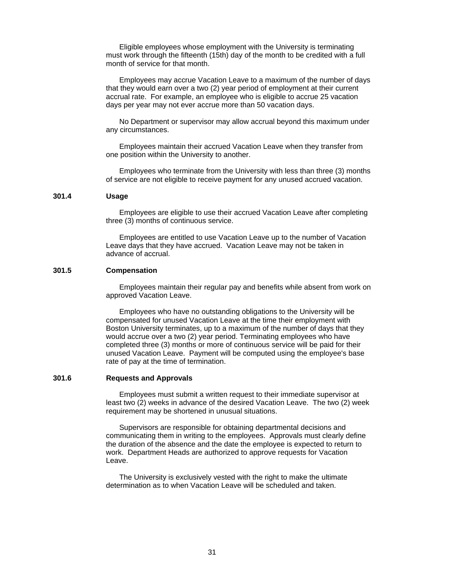Eligible employees whose employment with the University is terminating must work through the fifteenth (15th) day of the month to be credited with a full month of service for that month.

 Employees may accrue Vacation Leave to a maximum of the number of days that they would earn over a two (2) year period of employment at their current accrual rate. For example, an employee who is eligible to accrue 25 vacation days per year may not ever accrue more than 50 vacation days.

 No Department or supervisor may allow accrual beyond this maximum under any circumstances.

 Employees maintain their accrued Vacation Leave when they transfer from one position within the University to another.

 Employees who terminate from the University with less than three (3) months of service are not eligible to receive payment for any unused accrued vacation.

## **301.4 Usage**

 Employees are eligible to use their accrued Vacation Leave after completing three (3) months of continuous service.

 Employees are entitled to use Vacation Leave up to the number of Vacation Leave days that they have accrued. Vacation Leave may not be taken in advance of accrual.

#### **301.5 Compensation**

 Employees maintain their regular pay and benefits while absent from work on approved Vacation Leave.

 Employees who have no outstanding obligations to the University will be compensated for unused Vacation Leave at the time their employment with Boston University terminates, up to a maximum of the number of days that they would accrue over a two (2) year period. Terminating employees who have completed three (3) months or more of continuous service will be paid for their unused Vacation Leave. Payment will be computed using the employee's base rate of pay at the time of termination.

#### **301.6 Requests and Approvals**

 Employees must submit a written request to their immediate supervisor at least two (2) weeks in advance of the desired Vacation Leave. The two (2) week requirement may be shortened in unusual situations.

 Supervisors are responsible for obtaining departmental decisions and communicating them in writing to the employees. Approvals must clearly define the duration of the absence and the date the employee is expected to return to work. Department Heads are authorized to approve requests for Vacation Leave.

 The University is exclusively vested with the right to make the ultimate determination as to when Vacation Leave will be scheduled and taken.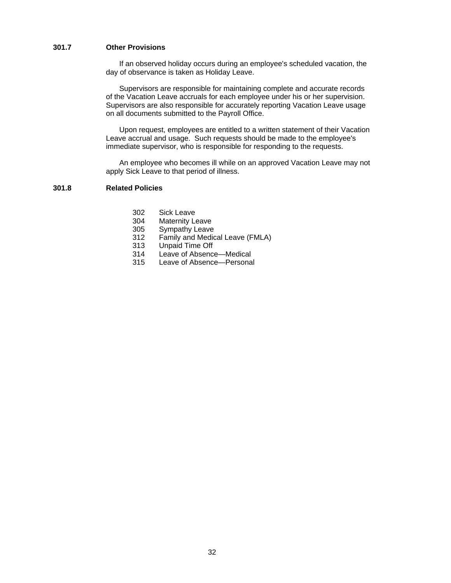### **301.7 Other Provisions**

 If an observed holiday occurs during an employee's scheduled vacation, the day of observance is taken as Holiday Leave.

 Supervisors are responsible for maintaining complete and accurate records of the Vacation Leave accruals for each employee under his or her supervision. Supervisors are also responsible for accurately reporting Vacation Leave usage on all documents submitted to the Payroll Office.

 Upon request, employees are entitled to a written statement of their Vacation Leave accrual and usage. Such requests should be made to the employee's immediate supervisor, who is responsible for responding to the requests.

 An employee who becomes ill while on an approved Vacation Leave may not apply Sick Leave to that period of illness.

## **301.8 Related Policies**

- 302 Sick Leave
- 304 Maternity Leave
- 305 Sympathy Leave
- 312 Family and Medical Leave (FMLA)
- 313 Unpaid Time Off
- 314 Leave of Absence—Medical
- 315 Leave of Absence—Personal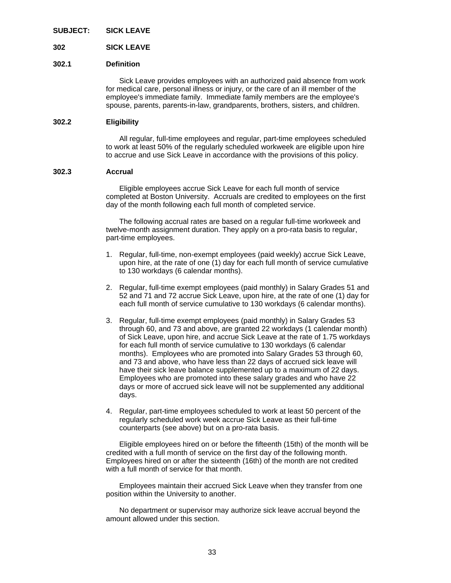**SUBJECT: SICK LEAVE** 

**302 SICK LEAVE** 

#### **302.1 Definition**

 Sick Leave provides employees with an authorized paid absence from work for medical care, personal illness or injury, or the care of an ill member of the employee's immediate family. Immediate family members are the employee's spouse, parents, parents-in-law, grandparents, brothers, sisters, and children.

#### **302.2 Eligibility**

 All regular, full-time employees and regular, part-time employees scheduled to work at least 50% of the regularly scheduled workweek are eligible upon hire to accrue and use Sick Leave in accordance with the provisions of this policy.

#### **302.3 Accrual**

 Eligible employees accrue Sick Leave for each full month of service completed at Boston University. Accruals are credited to employees on the first day of the month following each full month of completed service.

 The following accrual rates are based on a regular full-time workweek and twelve-month assignment duration. They apply on a pro-rata basis to regular, part-time employees.

- 1. Regular, full-time, non-exempt employees (paid weekly) accrue Sick Leave, upon hire, at the rate of one (1) day for each full month of service cumulative to 130 workdays (6 calendar months).
- 2. Regular, full-time exempt employees (paid monthly) in Salary Grades 51 and 52 and 71 and 72 accrue Sick Leave, upon hire, at the rate of one (1) day for each full month of service cumulative to 130 workdays (6 calendar months).
- 3. Regular, full-time exempt employees (paid monthly) in Salary Grades 53 through 60, and 73 and above, are granted 22 workdays (1 calendar month) of Sick Leave, upon hire, and accrue Sick Leave at the rate of 1.75 workdays for each full month of service cumulative to 130 workdays (6 calendar months). Employees who are promoted into Salary Grades 53 through 60, and 73 and above, who have less than 22 days of accrued sick leave will have their sick leave balance supplemented up to a maximum of 22 days. Employees who are promoted into these salary grades and who have 22 days or more of accrued sick leave will not be supplemented any additional days.
- 4. Regular, part-time employees scheduled to work at least 50 percent of the regularly scheduled work week accrue Sick Leave as their full-time counterparts (see above) but on a pro-rata basis.

 Eligible employees hired on or before the fifteenth (15th) of the month will be credited with a full month of service on the first day of the following month. Employees hired on or after the sixteenth (16th) of the month are not credited with a full month of service for that month.

 Employees maintain their accrued Sick Leave when they transfer from one position within the University to another.

 No department or supervisor may authorize sick leave accrual beyond the amount allowed under this section.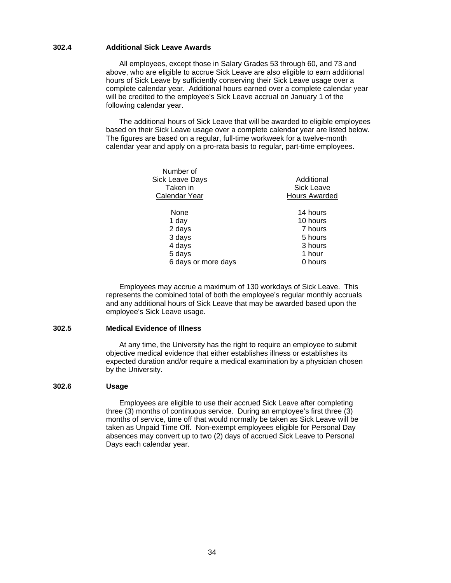#### **302.4 Additional Sick Leave Awards**

 All employees, except those in Salary Grades 53 through 60, and 73 and above, who are eligible to accrue Sick Leave are also eligible to earn additional hours of Sick Leave by sufficiently conserving their Sick Leave usage over a complete calendar year. Additional hours earned over a complete calendar year will be credited to the employee's Sick Leave accrual on January 1 of the following calendar year.

 The additional hours of Sick Leave that will be awarded to eligible employees based on their Sick Leave usage over a complete calendar year are listed below. The figures are based on a regular, full-time workweek for a twelve-month calendar year and apply on a pro-rata basis to regular, part-time employees.

| Number of<br><b>Sick Leave Days</b><br>Taken in<br>Calendar Year | Additional<br><b>Sick Leave</b><br>Hours Awarded |
|------------------------------------------------------------------|--------------------------------------------------|
| None                                                             | 14 hours                                         |
| 1 day                                                            | 10 hours                                         |
| 2 days                                                           | 7 hours                                          |
| 3 days                                                           | 5 hours                                          |
| 4 days                                                           | 3 hours                                          |
| 5 days                                                           | 1 hour                                           |
| 6 days or more days                                              | 0 hours                                          |

 Employees may accrue a maximum of 130 workdays of Sick Leave. This represents the combined total of both the employee's regular monthly accruals and any additional hours of Sick Leave that may be awarded based upon the employee's Sick Leave usage.

## **302.5 Medical Evidence of Illness**

 At any time, the University has the right to require an employee to submit objective medical evidence that either establishes illness or establishes its expected duration and/or require a medical examination by a physician chosen by the University.

#### **302.6 Usage**

 Employees are eligible to use their accrued Sick Leave after completing three (3) months of continuous service. During an employee's first three (3) months of service, time off that would normally be taken as Sick Leave will be taken as Unpaid Time Off. Non-exempt employees eligible for Personal Day absences may convert up to two (2) days of accrued Sick Leave to Personal Days each calendar year.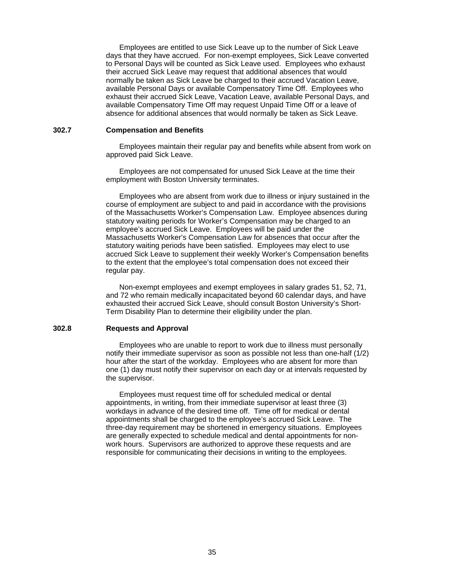Employees are entitled to use Sick Leave up to the number of Sick Leave days that they have accrued. For non-exempt employees, Sick Leave converted to Personal Days will be counted as Sick Leave used. Employees who exhaust their accrued Sick Leave may request that additional absences that would normally be taken as Sick Leave be charged to their accrued Vacation Leave, available Personal Days or available Compensatory Time Off. Employees who exhaust their accrued Sick Leave, Vacation Leave, available Personal Days, and available Compensatory Time Off may request Unpaid Time Off or a leave of absence for additional absences that would normally be taken as Sick Leave.

## **302.7 Compensation and Benefits**

 Employees maintain their regular pay and benefits while absent from work on approved paid Sick Leave.

 Employees are not compensated for unused Sick Leave at the time their employment with Boston University terminates.

 Employees who are absent from work due to illness or injury sustained in the course of employment are subject to and paid in accordance with the provisions of the Massachusetts Worker's Compensation Law. Employee absences during statutory waiting periods for Worker's Compensation may be charged to an employee's accrued Sick Leave. Employees will be paid under the Massachusetts Worker's Compensation Law for absences that occur after the statutory waiting periods have been satisfied. Employees may elect to use accrued Sick Leave to supplement their weekly Worker's Compensation benefits to the extent that the employee's total compensation does not exceed their regular pay.

 Non-exempt employees and exempt employees in salary grades 51, 52, 71, and 72 who remain medically incapacitated beyond 60 calendar days, and have exhausted their accrued Sick Leave, should consult Boston University's Short-Term Disability Plan to determine their eligibility under the plan.

#### **302.8 Requests and Approval**

 Employees who are unable to report to work due to illness must personally notify their immediate supervisor as soon as possible not less than one-half (1/2) hour after the start of the workday. Employees who are absent for more than one (1) day must notify their supervisor on each day or at intervals requested by the supervisor.

 Employees must request time off for scheduled medical or dental appointments, in writing, from their immediate supervisor at least three (3) workdays in advance of the desired time off. Time off for medical or dental appointments shall be charged to the employee's accrued Sick Leave. The three-day requirement may be shortened in emergency situations. Employees are generally expected to schedule medical and dental appointments for nonwork hours. Supervisors are authorized to approve these requests and are responsible for communicating their decisions in writing to the employees.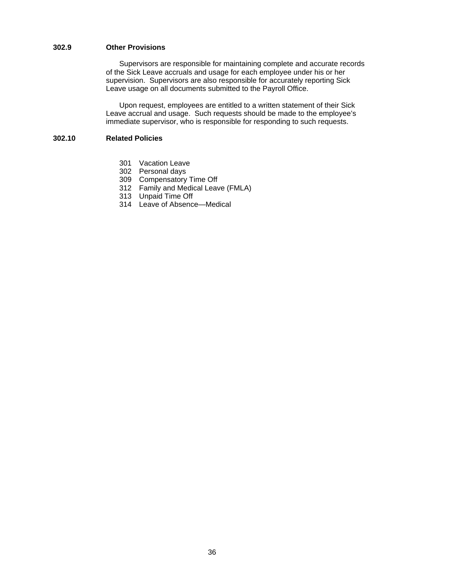## **302.9 Other Provisions**

 Supervisors are responsible for maintaining complete and accurate records of the Sick Leave accruals and usage for each employee under his or her supervision. Supervisors are also responsible for accurately reporting Sick Leave usage on all documents submitted to the Payroll Office.

Upon request, employees are entitled to a written statement of their Sick Leave accrual and usage. Such requests should be made to the employee's immediate supervisor, who is responsible for responding to such requests.

## **302.10 Related Policies**

- 301 Vacation Leave
- 302 Personal days
- 309 Compensatory Time Off
- 312 Family and Medical Leave (FMLA)
- 313 Unpaid Time Off
- 314 Leave of Absence—Medical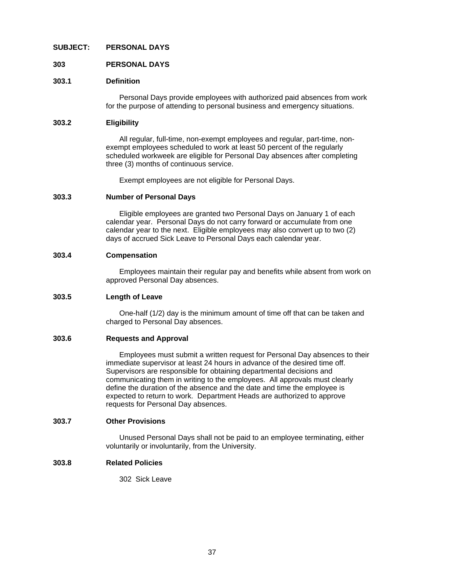### **SUBJECT: PERSONAL DAYS**

### **303 PERSONAL DAYS**

### **303.1 Definition**

Personal Days provide employees with authorized paid absences from work for the purpose of attending to personal business and emergency situations.

#### **303.2 Eligibility**

 All regular, full-time, non-exempt employees and regular, part-time, nonexempt employees scheduled to work at least 50 percent of the regularly scheduled workweek are eligible for Personal Day absences after completing three (3) months of continuous service.

Exempt employees are not eligible for Personal Days.

### **303.3 Number of Personal Days**

 Eligible employees are granted two Personal Days on January 1 of each calendar year. Personal Days do not carry forward or accumulate from one calendar year to the next. Eligible employees may also convert up to two (2) days of accrued Sick Leave to Personal Days each calendar year.

### **303.4 Compensation**

 Employees maintain their regular pay and benefits while absent from work on approved Personal Day absences.

## **303.5 Length of Leave**

 One-half (1/2) day is the minimum amount of time off that can be taken and charged to Personal Day absences.

# **303.6 Requests and Approval**

 Employees must submit a written request for Personal Day absences to their immediate supervisor at least 24 hours in advance of the desired time off. Supervisors are responsible for obtaining departmental decisions and communicating them in writing to the employees. All approvals must clearly define the duration of the absence and the date and time the employee is expected to return to work. Department Heads are authorized to approve requests for Personal Day absences.

#### **303.7 Other Provisions**

Unused Personal Days shall not be paid to an employee terminating, either voluntarily or involuntarily, from the University.

### **303.8 Related Policies**

302 Sick Leave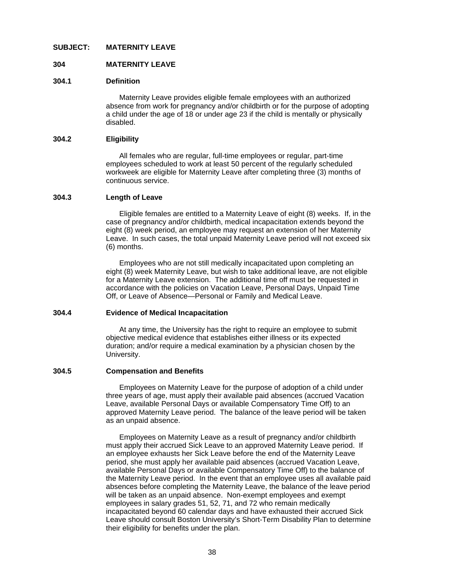### **SUBJECT: MATERNITY LEAVE**

### **304 MATERNITY LEAVE**

#### **304.1 Definition**

Maternity Leave provides eligible female employees with an authorized absence from work for pregnancy and/or childbirth or for the purpose of adopting a child under the age of 18 or under age 23 if the child is mentally or physically disabled.

#### **304.2 Eligibility**

All females who are regular, full-time employees or regular, part-time employees scheduled to work at least 50 percent of the regularly scheduled workweek are eligible for Maternity Leave after completing three (3) months of continuous service.

#### **304.3 Length of Leave**

 Eligible females are entitled to a Maternity Leave of eight (8) weeks. If, in the case of pregnancy and/or childbirth, medical incapacitation extends beyond the eight (8) week period, an employee may request an extension of her Maternity Leave. In such cases, the total unpaid Maternity Leave period will not exceed six (6) months.

 Employees who are not still medically incapacitated upon completing an eight (8) week Maternity Leave, but wish to take additional leave, are not eligible for a Maternity Leave extension. The additional time off must be requested in accordance with the policies on Vacation Leave, Personal Days, Unpaid Time Off, or Leave of Absence—Personal or Family and Medical Leave.

#### **304.4 Evidence of Medical Incapacitation**

 At any time, the University has the right to require an employee to submit objective medical evidence that establishes either illness or its expected duration; and/or require a medical examination by a physician chosen by the University.

#### **304.5 Compensation and Benefits**

 Employees on Maternity Leave for the purpose of adoption of a child under three years of age, must apply their available paid absences (accrued Vacation Leave, available Personal Days or available Compensatory Time Off) to an approved Maternity Leave period. The balance of the leave period will be taken as an unpaid absence.

Employees on Maternity Leave as a result of pregnancy and/or childbirth must apply their accrued Sick Leave to an approved Maternity Leave period. If an employee exhausts her Sick Leave before the end of the Maternity Leave period, she must apply her available paid absences (accrued Vacation Leave, available Personal Days or available Compensatory Time Off) to the balance of the Maternity Leave period. In the event that an employee uses all available paid absences before completing the Maternity Leave, the balance of the leave period will be taken as an unpaid absence. Non-exempt employees and exempt employees in salary grades 51, 52, 71, and 72 who remain medically incapacitated beyond 60 calendar days and have exhausted their accrued Sick Leave should consult Boston University's Short-Term Disability Plan to determine their eligibility for benefits under the plan.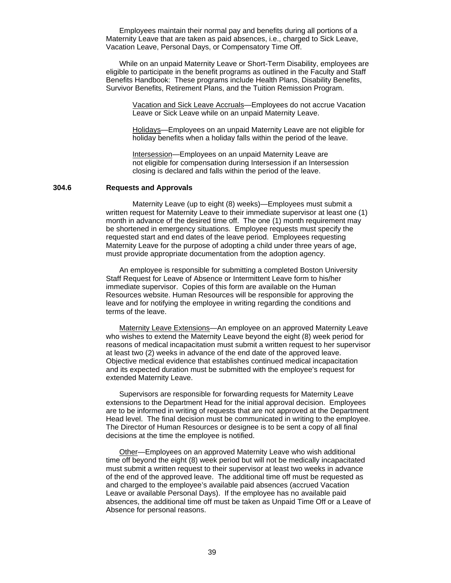Employees maintain their normal pay and benefits during all portions of a Maternity Leave that are taken as paid absences, i.e., charged to Sick Leave, Vacation Leave, Personal Days, or Compensatory Time Off.

 While on an unpaid Maternity Leave or Short-Term Disability, employees are eligible to participate in the benefit programs as outlined in the Faculty and Staff Benefits Handbook: These programs include Health Plans, Disability Benefits, Survivor Benefits, Retirement Plans, and the Tuition Remission Program.

> Vacation and Sick Leave Accruals—Employees do not accrue Vacation Leave or Sick Leave while on an unpaid Maternity Leave.

> Holidays—Employees on an unpaid Maternity Leave are not eligible for holiday benefits when a holiday falls within the period of the leave.

Intersession—Employees on an unpaid Maternity Leave are not eligible for compensation during Intersession if an Intersession closing is declared and falls within the period of the leave.

### **304.6 Requests and Approvals**

 Maternity Leave (up to eight (8) weeks)—Employees must submit a written request for Maternity Leave to their immediate supervisor at least one (1) month in advance of the desired time off. The one (1) month requirement may be shortened in emergency situations. Employee requests must specify the requested start and end dates of the leave period. Employees requesting Maternity Leave for the purpose of adopting a child under three years of age, must provide appropriate documentation from the adoption agency.

 An employee is responsible for submitting a completed Boston University Staff Request for Leave of Absence or Intermittent Leave form to his/her immediate supervisor. Copies of this form are available on the Human Resources website. Human Resources will be responsible for approving the leave and for notifying the employee in writing regarding the conditions and terms of the leave.

 Maternity Leave Extensions—An employee on an approved Maternity Leave who wishes to extend the Maternity Leave beyond the eight (8) week period for reasons of medical incapacitation must submit a written request to her supervisor at least two (2) weeks in advance of the end date of the approved leave. Objective medical evidence that establishes continued medical incapacitation and its expected duration must be submitted with the employee's request for extended Maternity Leave.

 Supervisors are responsible for forwarding requests for Maternity Leave extensions to the Department Head for the initial approval decision. Employees are to be informed in writing of requests that are not approved at the Department Head level. The final decision must be communicated in writing to the employee. The Director of Human Resources or designee is to be sent a copy of all final decisions at the time the employee is notified.

 Other—Employees on an approved Maternity Leave who wish additional time off beyond the eight (8) week period but will not be medically incapacitated must submit a written request to their supervisor at least two weeks in advance of the end of the approved leave. The additional time off must be requested as and charged to the employee's available paid absences (accrued Vacation Leave or available Personal Days). If the employee has no available paid absences, the additional time off must be taken as Unpaid Time Off or a Leave of Absence for personal reasons.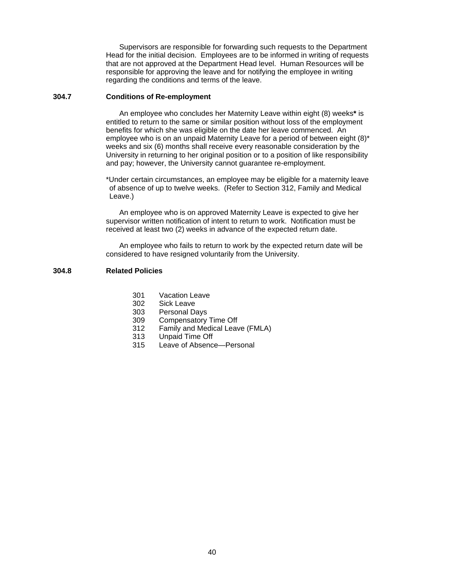Supervisors are responsible for forwarding such requests to the Department Head for the initial decision. Employees are to be informed in writing of requests that are not approved at the Department Head level. Human Resources will be responsible for approving the leave and for notifying the employee in writing regarding the conditions and terms of the leave.

# **304.7 Conditions of Re-employment**

An employee who concludes her Maternity Leave within eight (8) weeks**\*** is entitled to return to the same or similar position without loss of the employment benefits for which she was eligible on the date her leave commenced. An employee who is on an unpaid Maternity Leave for a period of between eight (8)\* weeks and six (6) months shall receive every reasonable consideration by the University in returning to her original position or to a position of like responsibility and pay; however, the University cannot guarantee re-employment.

 \*Under certain circumstances, an employee may be eligible for a maternity leave of absence of up to twelve weeks. (Refer to Section 312, Family and Medical Leave.)

 An employee who is on approved Maternity Leave is expected to give her supervisor written notification of intent to return to work. Notification must be received at least two (2) weeks in advance of the expected return date.

 An employee who fails to return to work by the expected return date will be considered to have resigned voluntarily from the University.

# **304.8 Related Policies**

- 301 Vacation Leave
- 302 Sick Leave
- 303 Personal Days
- 309 Compensatory Time Off
- 312 Family and Medical Leave (FMLA)
- 313 Unpaid Time Off
- 315 Leave of Absence—Personal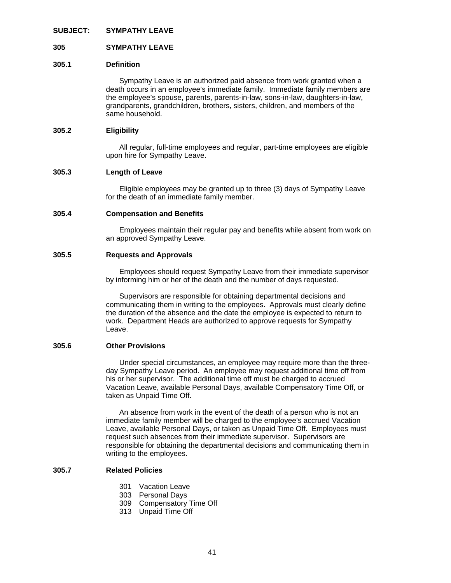#### **SUBJECT: SYMPATHY LEAVE**

### **305 SYMPATHY LEAVE**

#### **305.1 Definition**

Sympathy Leave is an authorized paid absence from work granted when a death occurs in an employee's immediate family. Immediate family members are the employee's spouse, parents, parents-in-law, sons-in-law, daughters-in-law, grandparents, grandchildren, brothers, sisters, children, and members of the same household.

#### **305.2 Eligibility**

All regular, full-time employees and regular, part-time employees are eligible upon hire for Sympathy Leave.

#### **305.3 Length of Leave**

 Eligible employees may be granted up to three (3) days of Sympathy Leave for the death of an immediate family member.

#### **305.4 Compensation and Benefits**

 Employees maintain their regular pay and benefits while absent from work on an approved Sympathy Leave.

#### **305.5 Requests and Approvals**

 Employees should request Sympathy Leave from their immediate supervisor by informing him or her of the death and the number of days requested.

 Supervisors are responsible for obtaining departmental decisions and communicating them in writing to the employees. Approvals must clearly define the duration of the absence and the date the employee is expected to return to work. Department Heads are authorized to approve requests for Sympathy Leave.

### **305.6 Other Provisions**

 Under special circumstances, an employee may require more than the threeday Sympathy Leave period. An employee may request additional time off from his or her supervisor. The additional time off must be charged to accrued Vacation Leave, available Personal Days, available Compensatory Time Off, or taken as Unpaid Time Off.

An absence from work in the event of the death of a person who is not an immediate family member will be charged to the employee's accrued Vacation Leave, available Personal Days, or taken as Unpaid Time Off. Employees must request such absences from their immediate supervisor. Supervisors are responsible for obtaining the departmental decisions and communicating them in writing to the employees.

## **305.7 Related Policies**

- 301 Vacation Leave
- 303 Personal Days
- 309 Compensatory Time Off
- 313 Unpaid Time Off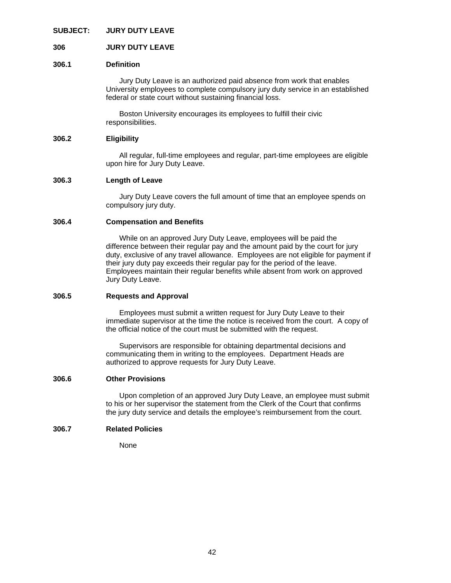### **SUBJECT: JURY DUTY LEAVE**

### **306 JURY DUTY LEAVE**

### **306.1 Definition**

Jury Duty Leave is an authorized paid absence from work that enables University employees to complete compulsory jury duty service in an established federal or state court without sustaining financial loss.

 Boston University encourages its employees to fulfill their civic responsibilities.

### **306.2 Eligibility**

 All regular, full-time employees and regular, part-time employees are eligible upon hire for Jury Duty Leave.

### **306.3 Length of Leave**

 Jury Duty Leave covers the full amount of time that an employee spends on compulsory jury duty.

### **306.4 Compensation and Benefits**

 While on an approved Jury Duty Leave, employees will be paid the difference between their regular pay and the amount paid by the court for jury duty, exclusive of any travel allowance. Employees are not eligible for payment if their jury duty pay exceeds their regular pay for the period of the leave. Employees maintain their regular benefits while absent from work on approved Jury Duty Leave.

### **306.5 Requests and Approval**

 Employees must submit a written request for Jury Duty Leave to their immediate supervisor at the time the notice is received from the court. A copy of the official notice of the court must be submitted with the request.

 Supervisors are responsible for obtaining departmental decisions and communicating them in writing to the employees. Department Heads are authorized to approve requests for Jury Duty Leave.

#### **306.6 Other Provisions**

Upon completion of an approved Jury Duty Leave, an employee must submit to his or her supervisor the statement from the Clerk of the Court that confirms the jury duty service and details the employee's reimbursement from the court.

### **306.7 Related Policies**

None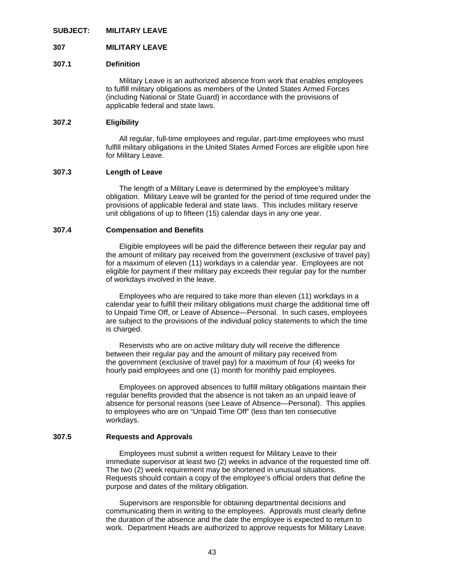#### **SUBJECT: MILITARY LEAVE**

### **307 MILITARY LEAVE**

#### **307.1 Definition**

Military Leave is an authorized absence from work that enables employees to fulfill military obligations as members of the United States Armed Forces (including National or State Guard) in accordance with the provisions of applicable federal and state laws.

### **307.2 Eligibility**

 All regular, full-time employees and regular, part-time employees who must fulfill military obligations in the United States Armed Forces are eligible upon hire for Military Leave.

### **307.3 Length of Leave**

 The length of a Military Leave is determined by the employee's military obligation. Military Leave will be granted for the period of time required under the provisions of applicable federal and state laws. This includes military reserve unit obligations of up to fifteen (15) calendar days in any one year.

#### **307.4 Compensation and Benefits**

 Eligible employees will be paid the difference between their regular pay and the amount of military pay received from the government (exclusive of travel pay) for a maximum of eleven (11) workdays in a calendar year. Employees are not eligible for payment if their military pay exceeds their regular pay for the number of workdays involved in the leave.

 Employees who are required to take more than eleven (11) workdays in a calendar year to fulfill their military obligations must charge the additional time off to Unpaid Time Off, or Leave of Absence—Personal. In such cases, employees are subject to the provisions of the individual policy statements to which the time is charged.

Reservists who are on active military duty will receive the difference between their regular pay and the amount of military pay received from the government (exclusive of travel pay) for a maximum of four (4) weeks for hourly paid employees and one (1) month for monthly paid employees.

 Employees on approved absences to fulfill military obligations maintain their regular benefits provided that the absence is not taken as an unpaid leave of absence for personal reasons (see Leave of Absence—Personal). This applies to employees who are on "Unpaid Time Off" (less than ten consecutive workdays.

### **307.5 Requests and Approvals**

Employees must submit a written request for Military Leave to their immediate supervisor at least two (2) weeks in advance of the requested time off. The two (2) week requirement may be shortened in unusual situations. Requests should contain a copy of the employee's official orders that define the purpose and dates of the military obligation.

 Supervisors are responsible for obtaining departmental decisions and communicating them in writing to the employees. Approvals must clearly define the duration of the absence and the date the employee is expected to return to work. Department Heads are authorized to approve requests for Military Leave.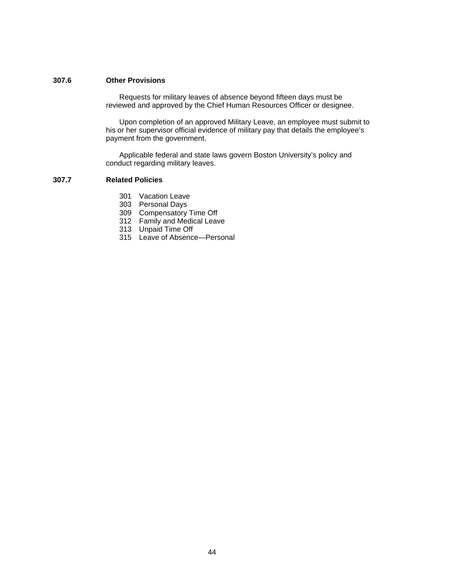# **307.6 Other Provisions**

Requests for military leaves of absence beyond fifteen days must be reviewed and approved by the Chief Human Resources Officer or designee.

 Upon completion of an approved Military Leave, an employee must submit to his or her supervisor official evidence of military pay that details the employee's payment from the government.

 Applicable federal and state laws govern Boston University's policy and conduct regarding military leaves.

### **307.7 Related Policies**

- 301 Vacation Leave
- 303 Personal Days
- 309 Compensatory Time Off
- 312 Family and Medical Leave
- 313 Unpaid Time Off
	- 315 Leave of Absence—Personal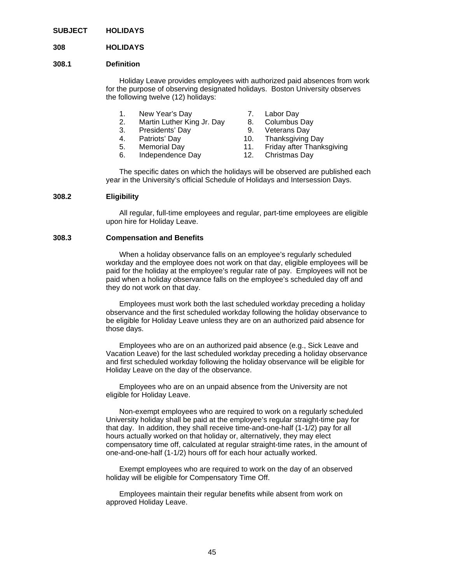**SUBJECT HOLIDAYS** 

### **308 HOLIDAYS**

#### **308.1 Definition**

Holiday Leave provides employees with authorized paid absences from work for the purpose of observing designated holidays. Boston University observes the following twelve (12) holidays:

- 1. New Year's Day 7. Labor Day
- 2. Martin Luther King Jr. Day 8. Columbus Day
- 3. Presidents' Day 9. Veterans Day
- 
- 
- 
- 
- 
- 4. Patriots' Day 10. Thanksgiving Day
- 5. Memorial Day 11. Friday after Thanksgiving
- 6. Independence Day 12. Christmas Day
- 

 The specific dates on which the holidays will be observed are published each year in the University's official Schedule of Holidays and Intersession Days.

### **308.2 Eligibility**

 All regular, full-time employees and regular, part-time employees are eligible upon hire for Holiday Leave.

#### **308.3 Compensation and Benefits**

 When a holiday observance falls on an employee's regularly scheduled workday and the employee does not work on that day, eligible employees will be paid for the holiday at the employee's regular rate of pay. Employees will not be paid when a holiday observance falls on the employee's scheduled day off and they do not work on that day.

 Employees must work both the last scheduled workday preceding a holiday observance and the first scheduled workday following the holiday observance to be eligible for Holiday Leave unless they are on an authorized paid absence for those days.

 Employees who are on an authorized paid absence (e.g., Sick Leave and Vacation Leave) for the last scheduled workday preceding a holiday observance and first scheduled workday following the holiday observance will be eligible for Holiday Leave on the day of the observance.

 Employees who are on an unpaid absence from the University are not eligible for Holiday Leave.

 Non-exempt employees who are required to work on a regularly scheduled University holiday shall be paid at the employee's regular straight-time pay for that day. In addition, they shall receive time-and-one-half (1-1/2) pay for all hours actually worked on that holiday or, alternatively, they may elect compensatory time off, calculated at regular straight-time rates, in the amount of one-and-one-half (1-1/2) hours off for each hour actually worked.

 Exempt employees who are required to work on the day of an observed holiday will be eligible for Compensatory Time Off.

 Employees maintain their regular benefits while absent from work on approved Holiday Leave.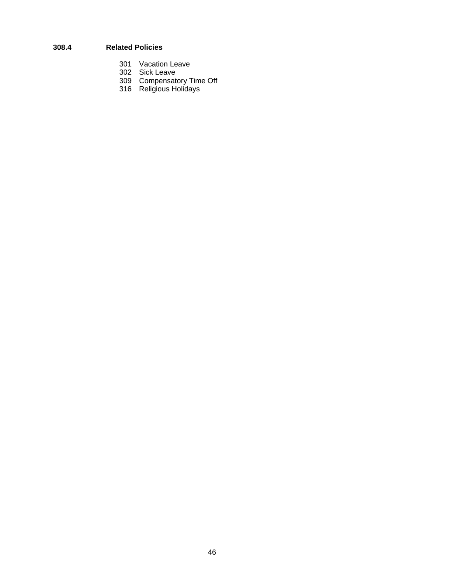# **308.4 Related Policies**

- 301 Vacation Leave
- 302 Sick Leave
- 309 Compensatory Time Off
- 316 Religious Holidays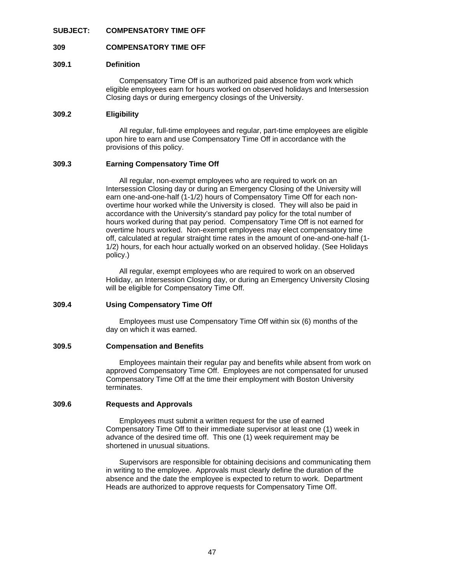### **SUBJECT: COMPENSATORY TIME OFF**

### **309 COMPENSATORY TIME OFF**

### **309.1 Definition**

Compensatory Time Off is an authorized paid absence from work which eligible employees earn for hours worked on observed holidays and Intersession Closing days or during emergency closings of the University.

# **309.2 Eligibility**

 All regular, full-time employees and regular, part-time employees are eligible upon hire to earn and use Compensatory Time Off in accordance with the provisions of this policy.

### **309.3 Earning Compensatory Time Off**

 All regular, non-exempt employees who are required to work on an Intersession Closing day or during an Emergency Closing of the University will earn one-and-one-half (1-1/2) hours of Compensatory Time Off for each nonovertime hour worked while the University is closed. They will also be paid in accordance with the University's standard pay policy for the total number of hours worked during that pay period. Compensatory Time Off is not earned for overtime hours worked. Non-exempt employees may elect compensatory time off, calculated at regular straight time rates in the amount of one-and-one-half (1- 1/2) hours, for each hour actually worked on an observed holiday. (See Holidays policy.)

 All regular, exempt employees who are required to work on an observed Holiday, an Intersession Closing day, or during an Emergency University Closing will be eligible for Compensatory Time Off.

### **309.4 Using Compensatory Time Off**

Employees must use Compensatory Time Off within six (6) months of the day on which it was earned.

### **309.5 Compensation and Benefits**

 Employees maintain their regular pay and benefits while absent from work on approved Compensatory Time Off. Employees are not compensated for unused Compensatory Time Off at the time their employment with Boston University terminates.

### **309.6 Requests and Approvals**

Employees must submit a written request for the use of earned Compensatory Time Off to their immediate supervisor at least one (1) week in advance of the desired time off. This one (1) week requirement may be shortened in unusual situations.

 Supervisors are responsible for obtaining decisions and communicating them in writing to the employee. Approvals must clearly define the duration of the absence and the date the employee is expected to return to work. Department Heads are authorized to approve requests for Compensatory Time Off.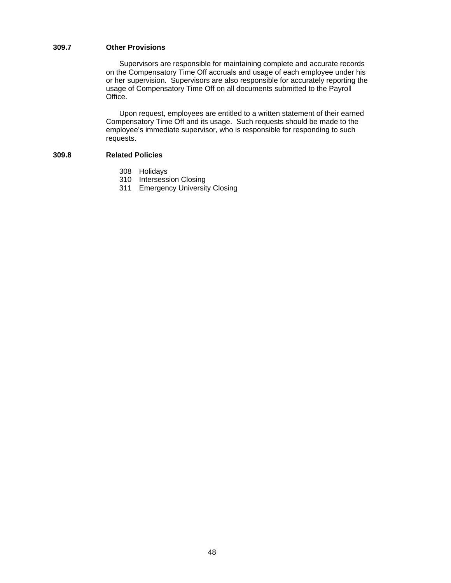# **309.7 Other Provisions**

 Supervisors are responsible for maintaining complete and accurate records on the Compensatory Time Off accruals and usage of each employee under his or her supervision. Supervisors are also responsible for accurately reporting the usage of Compensatory Time Off on all documents submitted to the Payroll Office.

 Upon request, employees are entitled to a written statement of their earned Compensatory Time Off and its usage. Such requests should be made to the employee's immediate supervisor, who is responsible for responding to such requests.

# **309.8 Related Policies**

- 308 Holidays
- 310 Intersession Closing
- 311 Emergency University Closing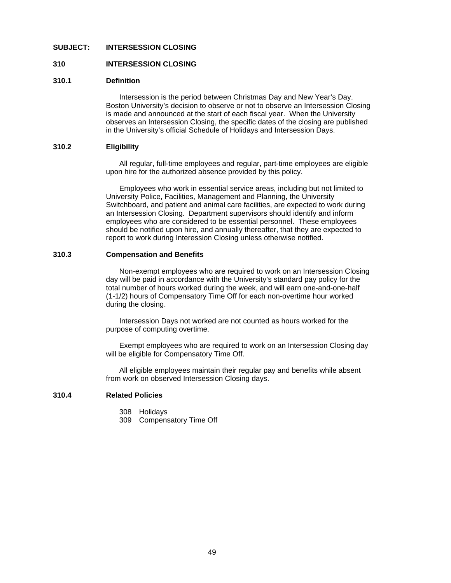### **SUBJECT: INTERSESSION CLOSING**

### **310 INTERSESSION CLOSING**

### **310.1 Definition**

Intersession is the period between Christmas Day and New Year's Day. Boston University's decision to observe or not to observe an Intersession Closing is made and announced at the start of each fiscal year. When the University observes an Intersession Closing, the specific dates of the closing are published in the University's official Schedule of Holidays and Intersession Days.

## **310.2 Eligibility**

All regular, full-time employees and regular, part-time employees are eligible upon hire for the authorized absence provided by this policy.

 Employees who work in essential service areas, including but not limited to University Police, Facilities, Management and Planning, the University Switchboard, and patient and animal care facilities, are expected to work during an Intersession Closing. Department supervisors should identify and inform employees who are considered to be essential personnel. These employees should be notified upon hire, and annually thereafter, that they are expected to report to work during Interession Closing unless otherwise notified.

#### **310.3 Compensation and Benefits**

Non-exempt employees who are required to work on an Intersession Closing day will be paid in accordance with the University's standard pay policy for the total number of hours worked during the week, and will earn one-and-one-half (1-1/2) hours of Compensatory Time Off for each non-overtime hour worked during the closing.

 Intersession Days not worked are not counted as hours worked for the purpose of computing overtime.

 Exempt employees who are required to work on an Intersession Closing day will be eligible for Compensatory Time Off.

 All eligible employees maintain their regular pay and benefits while absent from work on observed Intersession Closing days.

### **310.4 Related Policies**

- 308 Holidays
- 309 Compensatory Time Off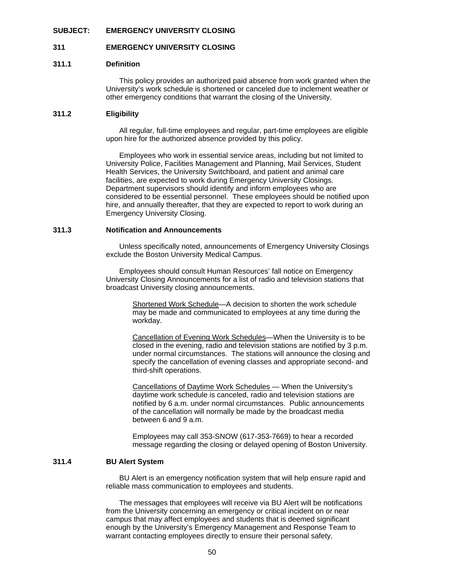### **SUBJECT: EMERGENCY UNIVERSITY CLOSING**

### **311 EMERGENCY UNIVERSITY CLOSING**

### **311.1 Definition**

This policy provides an authorized paid absence from work granted when the University's work schedule is shortened or canceled due to inclement weather or other emergency conditions that warrant the closing of the University.

# **311.2 Eligibility**

All regular, full-time employees and regular, part-time employees are eligible upon hire for the authorized absence provided by this policy.

 Employees who work in essential service areas, including but not limited to University Police, Facilities Management and Planning, Mail Services, Student Health Services, the University Switchboard, and patient and animal care facilities, are expected to work during Emergency University Closings. Department supervisors should identify and inform employees who are considered to be essential personnel. These employees should be notified upon hire, and annually thereafter, that they are expected to report to work during an Emergency University Closing.

#### **311.3 Notification and Announcements**

 Unless specifically noted, announcements of Emergency University Closings exclude the Boston University Medical Campus.

 Employees should consult Human Resources' fall notice on Emergency University Closing Announcements for a list of radio and television stations that broadcast University closing announcements.

> Shortened Work Schedule—A decision to shorten the work schedule may be made and communicated to employees at any time during the workday.

Cancellation of Evening Work Schedules—When the University is to be closed in the evening, radio and television stations are notified by 3 p.m. under normal circumstances. The stations will announce the closing and specify the cancellation of evening classes and appropriate second- and third-shift operations.

Cancellations of Daytime Work Schedules — When the University's daytime work schedule is canceled, radio and television stations are notified by 6 a.m. under normal circumstances. Public announcements of the cancellation will normally be made by the broadcast media between 6 and 9 a.m.

Employees may call 353-SNOW (617-353-7669) to hear a recorded message regarding the closing or delayed opening of Boston University.

# **311.4 BU Alert System**

 BU Alert is an emergency notification system that will help ensure rapid and reliable mass communication to employees and students.

 The messages that employees will receive via BU Alert will be notifications from the University concerning an emergency or critical incident on or near campus that may affect employees and students that is deemed significant enough by the University's Emergency Management and Response Team to warrant contacting employees directly to ensure their personal safety.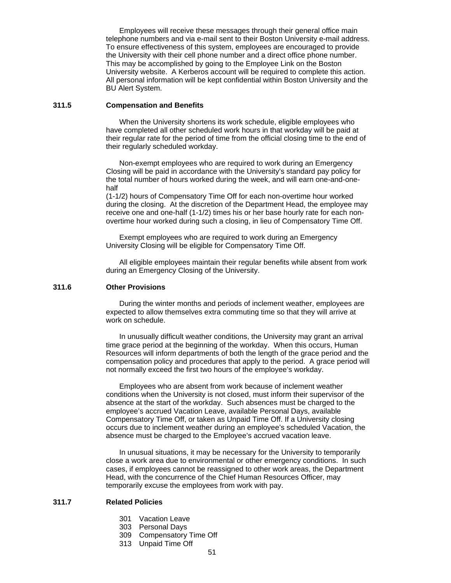Employees will receive these messages through their general office main telephone numbers and via e-mail sent to their Boston University e-mail address. To ensure effectiveness of this system, employees are encouraged to provide the University with their cell phone number and a direct office phone number. This may be accomplished by going to the Employee Link on the Boston University website. A Kerberos account will be required to complete this action. All personal information will be kept confidential within Boston University and the BU Alert System.

### **311.5 Compensation and Benefits**

 When the University shortens its work schedule, eligible employees who have completed all other scheduled work hours in that workday will be paid at their regular rate for the period of time from the official closing time to the end of their regularly scheduled workday.

 Non-exempt employees who are required to work during an Emergency Closing will be paid in accordance with the University's standard pay policy for the total number of hours worked during the week, and will earn one-and-onehalf

 (1-1/2) hours of Compensatory Time Off for each non-overtime hour worked during the closing. At the discretion of the Department Head, the employee may receive one and one-half (1-1/2) times his or her base hourly rate for each nonovertime hour worked during such a closing, in lieu of Compensatory Time Off.

 Exempt employees who are required to work during an Emergency University Closing will be eligible for Compensatory Time Off.

 All eligible employees maintain their regular benefits while absent from work during an Emergency Closing of the University.

### **311.6 Other Provisions**

 During the winter months and periods of inclement weather, employees are expected to allow themselves extra commuting time so that they will arrive at work on schedule.

 In unusually difficult weather conditions, the University may grant an arrival time grace period at the beginning of the workday. When this occurs, Human Resources will inform departments of both the length of the grace period and the compensation policy and procedures that apply to the period. A grace period will not normally exceed the first two hours of the employee's workday.

 Employees who are absent from work because of inclement weather conditions when the University is not closed, must inform their supervisor of the absence at the start of the workday. Such absences must be charged to the employee's accrued Vacation Leave, available Personal Days, available Compensatory Time Off, or taken as Unpaid Time Off. If a University closing occurs due to inclement weather during an employee's scheduled Vacation, the absence must be charged to the Employee's accrued vacation leave.

In unusual situations, it may be necessary for the University to temporarily close a work area due to environmental or other emergency conditions. In such cases, if employees cannot be reassigned to other work areas, the Department Head, with the concurrence of the Chief Human Resources Officer, may temporarily excuse the employees from work with pay.

# **311.7 Related Policies**

- 301 Vacation Leave
- 303 Personal Days
- 309 Compensatory Time Off
- 313 Unpaid Time Off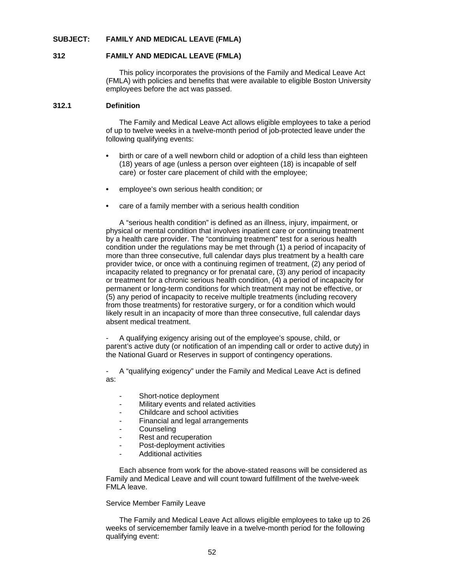### **SUBJECT: FAMILY AND MEDICAL LEAVE (FMLA)**

### **312 FAMILY AND MEDICAL LEAVE (FMLA)**

This policy incorporates the provisions of the Family and Medical Leave Act (FMLA) with policies and benefits that were available to eligible Boston University employees before the act was passed.

### **312.1 Definition**

The Family and Medical Leave Act allows eligible employees to take a period of up to twelve weeks in a twelve-month period of job-protected leave under the following qualifying events:

- birth or care of a well newborn child or adoption of a child less than eighteen (18) years of age (unless a person over eighteen (18) is incapable of self care) or foster care placement of child with the employee;
- employee's own serious health condition; or
- care of a family member with a serious health condition

A "serious health condition" is defined as an illness, injury, impairment, or physical or mental condition that involves inpatient care or continuing treatment by a health care provider. The "continuing treatment" test for a serious health condition under the regulations may be met through (1) a period of incapacity of more than three consecutive, full calendar days plus treatment by a health care provider twice, or once with a continuing regimen of treatment, (2) any period of incapacity related to pregnancy or for prenatal care, (3) any period of incapacity or treatment for a chronic serious health condition, (4) a period of incapacity for permanent or long-term conditions for which treatment may not be effective, or (5) any period of incapacity to receive multiple treatments (including recovery from those treatments) for restorative surgery, or for a condition which would likely result in an incapacity of more than three consecutive, full calendar days absent medical treatment.

 - A qualifying exigency arising out of the employee's spouse, child, or parent's active duty (or notification of an impending call or order to active duty) in the National Guard or Reserves in support of contingency operations.

 - A "qualifying exigency" under the Family and Medical Leave Act is defined as:

- Short-notice deployment
- Military events and related activities
- Childcare and school activities
- Financial and legal arrangements
- **Counseling**
- Rest and recuperation
- Post-deployment activities
- Additional activities

Each absence from work for the above-stated reasons will be considered as Family and Medical Leave and will count toward fulfillment of the twelve-week FMLA leave.

### Service Member Family Leave

 The Family and Medical Leave Act allows eligible employees to take up to 26 weeks of servicemember family leave in a twelve-month period for the following qualifying event: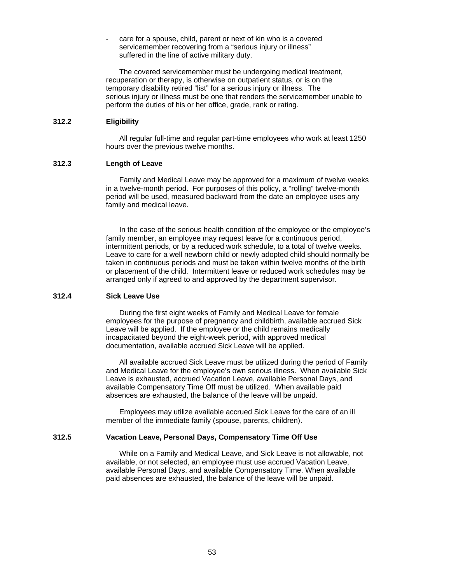care for a spouse, child, parent or next of kin who is a covered servicemember recovering from a "serious injury or illness" suffered in the line of active military duty.

The covered servicemember must be undergoing medical treatment, recuperation or therapy, is otherwise on outpatient status, or is on the temporary disability retired "list" for a serious injury or illness. The serious injury or illness must be one that renders the servicemember unable to perform the duties of his or her office, grade, rank or rating.

# **312.2 Eligibility**

All regular full-time and regular part-time employees who work at least 1250 hours over the previous twelve months.

### **312.3 Length of Leave**

Family and Medical Leave may be approved for a maximum of twelve weeks in a twelve-month period. For purposes of this policy, a "rolling" twelve-month period will be used, measured backward from the date an employee uses any family and medical leave.

In the case of the serious health condition of the employee or the employee's family member, an employee may request leave for a continuous period, intermittent periods, or by a reduced work schedule, to a total of twelve weeks. Leave to care for a well newborn child or newly adopted child should normally be taken in continuous periods and must be taken within twelve months of the birth or placement of the child. Intermittent leave or reduced work schedules may be arranged only if agreed to and approved by the department supervisor.

### **312.4 Sick Leave Use**

During the first eight weeks of Family and Medical Leave for female employees for the purpose of pregnancy and childbirth, available accrued Sick Leave will be applied. If the employee or the child remains medically incapacitated beyond the eight-week period, with approved medical documentation, available accrued Sick Leave will be applied.

All available accrued Sick Leave must be utilized during the period of Family and Medical Leave for the employee's own serious illness. When available Sick Leave is exhausted, accrued Vacation Leave, available Personal Days, and available Compensatory Time Off must be utilized. When available paid absences are exhausted, the balance of the leave will be unpaid.

Employees may utilize available accrued Sick Leave for the care of an ill member of the immediate family (spouse, parents, children).

## **312.5 Vacation Leave, Personal Days, Compensatory Time Off Use**

While on a Family and Medical Leave, and Sick Leave is not allowable, not available, or not selected, an employee must use accrued Vacation Leave, available Personal Days, and available Compensatory Time. When available paid absences are exhausted, the balance of the leave will be unpaid.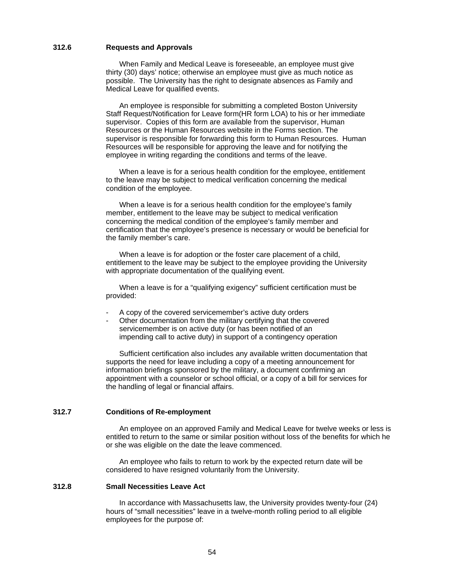### **312.6 Requests and Approvals**

When Family and Medical Leave is foreseeable, an employee must give thirty (30) days' notice; otherwise an employee must give as much notice as possible. The University has the right to designate absences as Family and Medical Leave for qualified events.

An employee is responsible for submitting a completed Boston University Staff Request/Notification for Leave form(HR form LOA) to his or her immediate supervisor. Copies of this form are available from the supervisor, Human Resources or the Human Resources website in the Forms section. The supervisor is responsible for forwarding this form to Human Resources.Human Resources will be responsible for approving the leave and for notifying the employee in writing regarding the conditions and terms of the leave.

When a leave is for a serious health condition for the employee, entitlement to the leave may be subject to medical verification concerning the medical condition of the employee.

 When a leave is for a serious health condition for the employee's family member, entitlement to the leave may be subject to medical verification concerning the medical condition of the employee's family member and certification that the employee's presence is necessary or would be beneficial for the family member's care.

When a leave is for adoption or the foster care placement of a child, entitlement to the leave may be subject to the employee providing the University with appropriate documentation of the qualifying event.

 When a leave is for a "qualifying exigency" sufficient certification must be provided:

- A copy of the covered servicemember's active duty orders
- Other documentation from the military certifying that the covered servicemember is on active duty (or has been notified of an impending call to active duty) in support of a contingency operation

 Sufficient certification also includes any available written documentation that supports the need for leave including a copy of a meeting announcement for information briefings sponsored by the military, a document confirming an appointment with a counselor or school official, or a copy of a bill for services for the handling of legal or financial affairs.

### **312.7 Conditions of Re-employment**

An employee on an approved Family and Medical Leave for twelve weeks or less is entitled to return to the same or similar position without loss of the benefits for which he or she was eligible on the date the leave commenced.

 An employee who fails to return to work by the expected return date will be considered to have resigned voluntarily from the University.

# **312.8 Small Necessities Leave Act**

In accordance with Massachusetts law, the University provides twenty-four (24) hours of "small necessities" leave in a twelve-month rolling period to all eligible employees for the purpose of: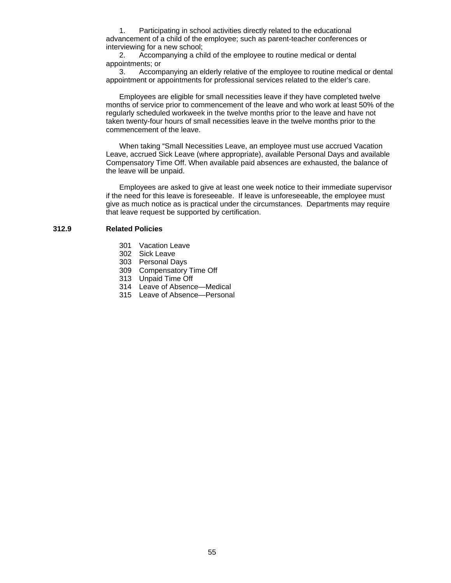1. Participating in school activities directly related to the educational advancement of a child of the employee; such as parent-teacher conferences or interviewing for a new school;

 2. Accompanying a child of the employee to routine medical or dental appointments; or

 3. Accompanying an elderly relative of the employee to routine medical or dental appointment or appointments for professional services related to the elder's care.

 Employees are eligible for small necessities leave if they have completed twelve months of service prior to commencement of the leave and who work at least 50% of the regularly scheduled workweek in the twelve months prior to the leave and have not taken twenty-four hours of small necessities leave in the twelve months prior to the commencement of the leave.

 When taking "Small Necessities Leave, an employee must use accrued Vacation Leave, accrued Sick Leave (where appropriate), available Personal Days and available Compensatory Time Off. When available paid absences are exhausted, the balance of the leave will be unpaid.

 Employees are asked to give at least one week notice to their immediate supervisor if the need for this leave is foreseeable. If leave is unforeseeable, the employee must give as much notice as is practical under the circumstances. Departments may require that leave request be supported by certification.

## **312.9 Related Policies**

- 301 Vacation Leave
- 302 Sick Leave
- 303 Personal Days
- 309 Compensatory Time Off
- 313 Unpaid Time Off
- 314 Leave of Absence—Medical
- 315 Leave of Absence—Personal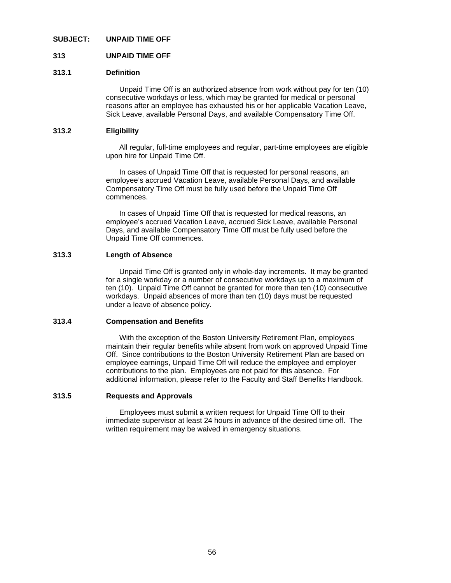### **SUBJECT: UNPAID TIME OFF**

### **313 UNPAID TIME OFF**

# **313.1 Definition**

Unpaid Time Off is an authorized absence from work without pay for ten (10) consecutive workdays or less, which may be granted for medical or personal reasons after an employee has exhausted his or her applicable Vacation Leave, Sick Leave, available Personal Days, and available Compensatory Time Off.

### **313.2 Eligibility**

 All regular, full-time employees and regular, part-time employees are eligible upon hire for Unpaid Time Off.

 In cases of Unpaid Time Off that is requested for personal reasons, an employee's accrued Vacation Leave, available Personal Days, and available Compensatory Time Off must be fully used before the Unpaid Time Off commences.

 In cases of Unpaid Time Off that is requested for medical reasons, an employee's accrued Vacation Leave, accrued Sick Leave, available Personal Days, and available Compensatory Time Off must be fully used before the Unpaid Time Off commences.

### **313.3 Length of Absence**

Unpaid Time Off is granted only in whole-day increments. It may be granted for a single workday or a number of consecutive workdays up to a maximum of ten (10). Unpaid Time Off cannot be granted for more than ten (10) consecutive workdays. Unpaid absences of more than ten (10) days must be requested under a leave of absence policy.

### **313.4 Compensation and Benefits**

With the exception of the Boston University Retirement Plan, employees maintain their regular benefits while absent from work on approved Unpaid Time Off. Since contributions to the Boston University Retirement Plan are based on employee earnings, Unpaid Time Off will reduce the employee and employer contributions to the plan. Employees are not paid for this absence. For additional information, please refer to the Faculty and Staff Benefits Handbook*.* 

#### **313.5 Requests and Approvals**

Employees must submit a written request for Unpaid Time Off to their immediate supervisor at least 24 hours in advance of the desired time off. The written requirement may be waived in emergency situations.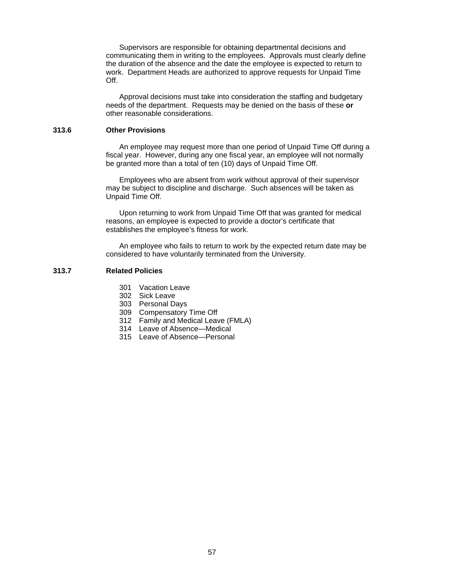Supervisors are responsible for obtaining departmental decisions and communicating them in writing to the employees. Approvals must clearly define the duration of the absence and the date the employee is expected to return to work. Department Heads are authorized to approve requests for Unpaid Time Off.

 Approval decisions must take into consideration the staffing and budgetary needs of the department. Requests may be denied on the basis of these **or**  other reasonable considerations.

#### **313.6 Other Provisions**

An employee may request more than one period of Unpaid Time Off during a fiscal year. However, during any one fiscal year, an employee will not normally be granted more than a total of ten (10) days of Unpaid Time Off.

 Employees who are absent from work without approval of their supervisor may be subject to discipline and discharge. Such absences will be taken as Unpaid Time Off.

 Upon returning to work from Unpaid Time Off that was granted for medical reasons, an employee is expected to provide a doctor's certificate that establishes the employee's fitness for work.

 An employee who fails to return to work by the expected return date may be considered to have voluntarily terminated from the University.

### **313.7 Related Policies**

- 301 Vacation Leave
- 302 Sick Leave
- 303 Personal Days
- 309 Compensatory Time Off
- 312 Family and Medical Leave (FMLA)
- 314 Leave of Absence—Medical
- 315 Leave of Absence—Personal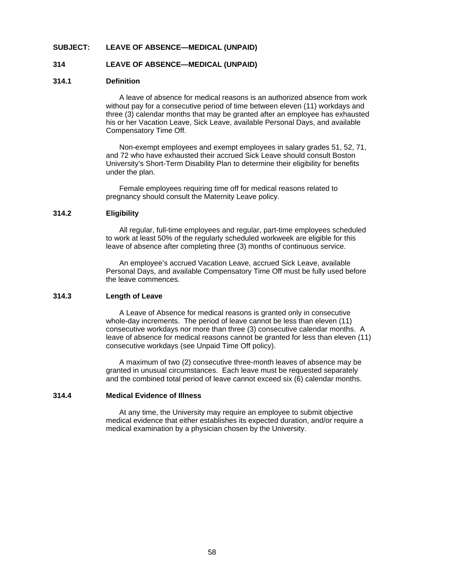### **SUBJECT: LEAVE OF ABSENCE—MEDICAL (UNPAID)**

### **314 LEAVE OF ABSENCE—MEDICAL (UNPAID)**

### **314.1 Definition**

A leave of absence for medical reasons is an authorized absence from work without pay for a consecutive period of time between eleven (11) workdays and three (3) calendar months that may be granted after an employee has exhausted his or her Vacation Leave, Sick Leave, available Personal Days, and available Compensatory Time Off.

 Non-exempt employees and exempt employees in salary grades 51, 52, 71, and 72 who have exhausted their accrued Sick Leave should consult Boston University's Short-Term Disability Plan to determine their eligibility for benefits under the plan.

 Female employees requiring time off for medical reasons related to pregnancy should consult the Maternity Leave policy.

### **314.2 Eligibility**

 All regular, full-time employees and regular, part-time employees scheduled to work at least 50% of the regularly scheduled workweek are eligible for this leave of absence after completing three (3) months of continuous service.

 An employee's accrued Vacation Leave, accrued Sick Leave, available Personal Days, and available Compensatory Time Off must be fully used before the leave commences.

# **314.3 Length of Leave**

 A Leave of Absence for medical reasons is granted only in consecutive whole-day increments. The period of leave cannot be less than eleven (11) consecutive workdays nor more than three (3) consecutive calendar months. A leave of absence for medical reasons cannot be granted for less than eleven (11) consecutive workdays (see Unpaid Time Off policy).

 A maximum of two (2) consecutive three-month leaves of absence may be granted in unusual circumstances. Each leave must be requested separately and the combined total period of leave cannot exceed six (6) calendar months.

#### **314.4 Medical Evidence of Illness**

At any time, the University may require an employee to submit objective medical evidence that either establishes its expected duration, and/or require a medical examination by a physician chosen by the University.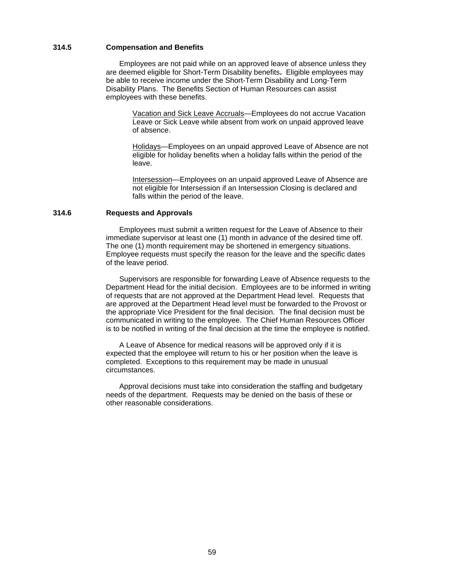### **314.5 Compensation and Benefits**

 Employees are not paid while on an approved leave of absence unless they are deemed eligible for Short-Term Disability benefits**.** Eligible employees may be able to receive income under the Short-Term Disability and Long-Term Disability Plans. The Benefits Section of Human Resources can assist employees with these benefits.

> Vacation and Sick Leave Accruals—Employees do not accrue Vacation Leave or Sick Leave while absent from work on unpaid approved leave of absence.

Holidays—Employees on an unpaid approved Leave of Absence are not eligible for holiday benefits when a holiday falls within the period of the leave.

Intersession—Employees on an unpaid approved Leave of Absence are not eligible for Intersession if an Intersession Closing is declared and falls within the period of the leave.

### **314.6 Requests and Approvals**

Employees must submit a written request for the Leave of Absence to their immediate supervisor at least one (1) month in advance of the desired time off. The one (1) month requirement may be shortened in emergency situations. Employee requests must specify the reason for the leave and the specific dates of the leave period.

 Supervisors are responsible for forwarding Leave of Absence requests to the Department Head for the initial decision. Employees are to be informed in writing of requests that are not approved at the Department Head level. Requests that are approved at the Department Head level must be forwarded to the Provost or the appropriate Vice President for the final decision. The final decision must be communicated in writing to the employee. The Chief Human Resources Officer is to be notified in writing of the final decision at the time the employee is notified.

 A Leave of Absence for medical reasons will be approved only if it is expected that the employee will return to his or her position when the leave is completed. Exceptions to this requirement may be made in unusual circumstances.

 Approval decisions must take into consideration the staffing and budgetary needs of the department. Requests may be denied on the basis of these or other reasonable considerations.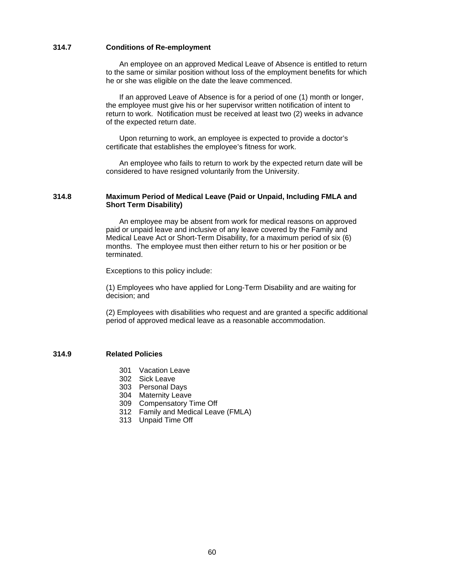### **314.7 Conditions of Re-employment**

An employee on an approved Medical Leave of Absence is entitled to return to the same or similar position without loss of the employment benefits for which he or she was eligible on the date the leave commenced.

 If an approved Leave of Absence is for a period of one (1) month or longer, the employee must give his or her supervisor written notification of intent to return to work. Notification must be received at least two (2) weeks in advance of the expected return date.

 Upon returning to work, an employee is expected to provide a doctor's certificate that establishes the employee's fitness for work.

 An employee who fails to return to work by the expected return date will be considered to have resigned voluntarily from the University.

### **314.8 Maximum Period of Medical Leave (Paid or Unpaid, Including FMLA and Short Term Disability)**

 An employee may be absent from work for medical reasons on approved paid or unpaid leave and inclusive of any leave covered by the Family and Medical Leave Act or Short-Term Disability, for a maximum period of six (6) months. The employee must then either return to his or her position or be terminated.

Exceptions to this policy include:

 (1) Employees who have applied for Long-Term Disability and are waiting for decision; and

 (2) Employees with disabilities who request and are granted a specific additional period of approved medical leave as a reasonable accommodation.

### **314.9 Related Policies**

- 301 Vacation Leave
- 302 Sick Leave
- 303 Personal Days
- 304 Maternity Leave
- 309 Compensatory Time Off
- 312 Family and Medical Leave (FMLA)
- 313 Unpaid Time Off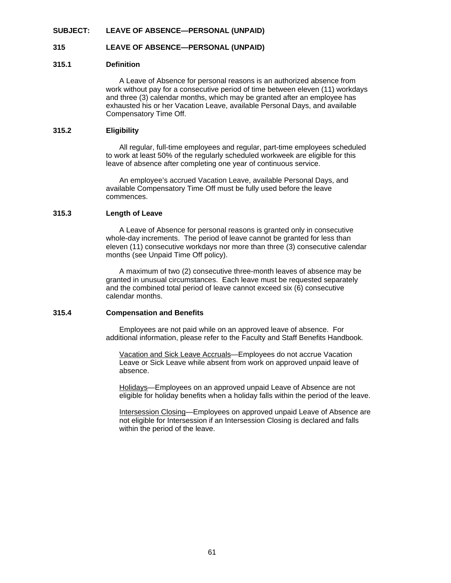#### **SUBJECT: LEAVE OF ABSENCE—PERSONAL (UNPAID)**

### **315 LEAVE OF ABSENCE—PERSONAL (UNPAID)**

#### **315.1 Definition**

A Leave of Absence for personal reasons is an authorized absence from work without pay for a consecutive period of time between eleven (11) workdays and three (3) calendar months, which may be granted after an employee has exhausted his or her Vacation Leave, available Personal Days, and available Compensatory Time Off.

#### **315.2 Eligibility**

All regular, full-time employees and regular, part-time employees scheduled to work at least 50% of the regularly scheduled workweek are eligible for this leave of absence after completing one year of continuous service.

 An employee's accrued Vacation Leave, available Personal Days, and available Compensatory Time Off must be fully used before the leave commences.

### **315.3 Length of Leave**

A Leave of Absence for personal reasons is granted only in consecutive whole-day increments. The period of leave cannot be granted for less than eleven (11) consecutive workdays nor more than three (3) consecutive calendar months (see Unpaid Time Off policy).

 A maximum of two (2) consecutive three-month leaves of absence may be granted in unusual circumstances. Each leave must be requested separately and the combined total period of leave cannot exceed six (6) consecutive calendar months.

### **315.4 Compensation and Benefits**

Employees are not paid while on an approved leave of absence. For additional information, please refer to the Faculty and Staff Benefits Handbook*.*

 Vacation and Sick Leave Accruals—Employees do not accrue Vacation Leave or Sick Leave while absent from work on approved unpaid leave of absence.

 Holidays—Employees on an approved unpaid Leave of Absence are not eligible for holiday benefits when a holiday falls within the period of the leave.

 Intersession Closing—Employees on approved unpaid Leave of Absence are not eligible for Intersession if an Intersession Closing is declared and falls within the period of the leave.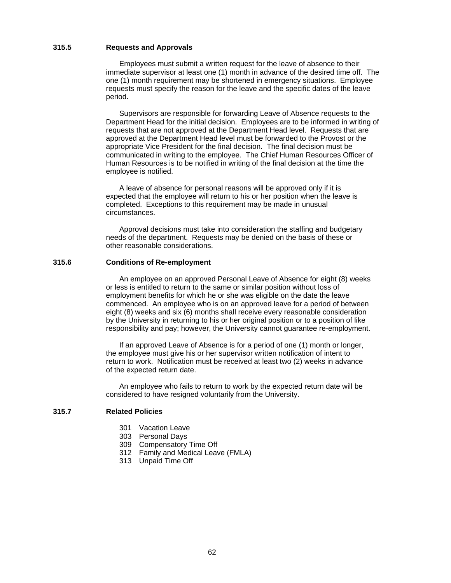### **315.5 Requests and Approvals**

Employees must submit a written request for the leave of absence to their immediate supervisor at least one (1) month in advance of the desired time off. The one (1) month requirement may be shortened in emergency situations. Employee requests must specify the reason for the leave and the specific dates of the leave period.

Supervisors are responsible for forwarding Leave of Absence requests to the Department Head for the initial decision. Employees are to be informed in writing of requests that are not approved at the Department Head level. Requests that are approved at the Department Head level must be forwarded to the Provost or the appropriate Vice President for the final decision. The final decision must be communicated in writing to the employee. The Chief Human Resources Officer of Human Resources is to be notified in writing of the final decision at the time the employee is notified.

 A leave of absence for personal reasons will be approved only if it is expected that the employee will return to his or her position when the leave is completed. Exceptions to this requirement may be made in unusual circumstances.

 Approval decisions must take into consideration the staffing and budgetary needs of the department. Requests may be denied on the basis of these or other reasonable considerations.

#### **315.6 Conditions of Re-employment**

 An employee on an approved Personal Leave of Absence for eight (8) weeks or less is entitled to return to the same or similar position without loss of employment benefits for which he or she was eligible on the date the leave commenced. An employee who is on an approved leave for a period of between eight (8) weeks and six (6) months shall receive every reasonable consideration by the University in returning to his or her original position or to a position of like responsibility and pay; however, the University cannot guarantee re-employment.

 If an approved Leave of Absence is for a period of one (1) month or longer, the employee must give his or her supervisor written notification of intent to return to work. Notification must be received at least two (2) weeks in advance of the expected return date.

 An employee who fails to return to work by the expected return date will be considered to have resigned voluntarily from the University.

# **315.7 Related Policies**

- 301 Vacation Leave
- 303 Personal Days
- 309 Compensatory Time Off
- 312 Family and Medical Leave (FMLA)
- 313 Unpaid Time Off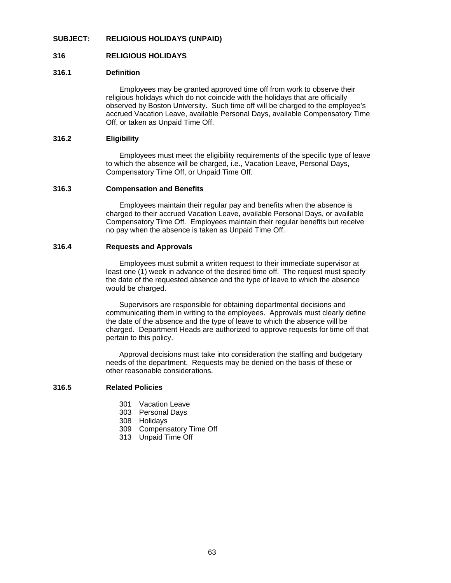# **SUBJECT: RELIGIOUS HOLIDAYS (UNPAID)**

## **316 RELIGIOUS HOLIDAYS**

## **316.1 Definition**

Employees may be granted approved time off from work to observe their religious holidays which do not coincide with the holidays that are officially observed by Boston University. Such time off will be charged to the employee's accrued Vacation Leave, available Personal Days, available Compensatory Time Off, or taken as Unpaid Time Off.

### **316.2 Eligibility**

Employees must meet the eligibility requirements of the specific type of leave to which the absence will be charged, i.e., Vacation Leave, Personal Days, Compensatory Time Off, or Unpaid Time Off.

### **316.3 Compensation and Benefits**

Employees maintain their regular pay and benefits when the absence is charged to their accrued Vacation Leave, available Personal Days, or available Compensatory Time Off. Employees maintain their regular benefits but receive no pay when the absence is taken as Unpaid Time Off.

### **316.4 Requests and Approvals**

Employees must submit a written request to their immediate supervisor at least one (1) week in advance of the desired time off. The request must specify the date of the requested absence and the type of leave to which the absence would be charged.

 Supervisors are responsible for obtaining departmental decisions and communicating them in writing to the employees. Approvals must clearly define the date of the absence and the type of leave to which the absence will be charged. Department Heads are authorized to approve requests for time off that pertain to this policy.

 Approval decisions must take into consideration the staffing and budgetary needs of the department. Requests may be denied on the basis of these or other reasonable considerations.

#### **316.5 Related Policies**

- 301 Vacation Leave
- 303 Personal Days
- 308 Holidays
- 309 Compensatory Time Off
- 313 Unpaid Time Off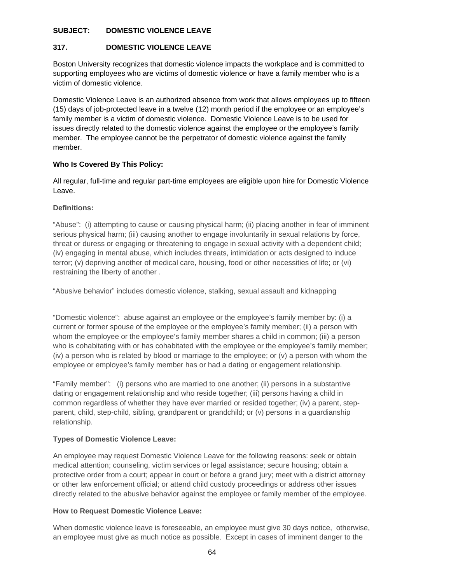# **SUBJECT: DOMESTIC VIOLENCE LEAVE**

# **317. DOMESTIC VIOLENCE LEAVE**

Boston University recognizes that domestic violence impacts the workplace and is committed to supporting employees who are victims of domestic violence or have a family member who is a victim of domestic violence.

Domestic Violence Leave is an authorized absence from work that allows employees up to fifteen (15) days of job-protected leave in a twelve (12) month period if the employee or an employee's family member is a victim of domestic violence. Domestic Violence Leave is to be used for issues directly related to the domestic violence against the employee or the employee's family member. The employee cannot be the perpetrator of domestic violence against the family member.

# **Who Is Covered By This Policy:**

All regular, full-time and regular part-time employees are eligible upon hire for Domestic Violence Leave.

# **Definitions:**

"Abuse": (i) attempting to cause or causing physical harm; (ii) placing another in fear of imminent serious physical harm; (iii) causing another to engage involuntarily in sexual relations by force, threat or duress or engaging or threatening to engage in sexual activity with a dependent child; (iv) engaging in mental abuse, which includes threats, intimidation or acts designed to induce terror; (v) depriving another of medical care, housing, food or other necessities of life; or (vi) restraining the liberty of another .

"Abusive behavior" includes domestic violence, stalking, sexual assault and kidnapping

"Domestic violence": abuse against an employee or the employee's family member by: (i) a current or former spouse of the employee or the employee's family member; (ii) a person with whom the employee or the employee's family member shares a child in common; (iii) a person who is cohabitating with or has cohabitated with the employee or the employee's family member; (iv) a person who is related by blood or marriage to the employee; or (v) a person with whom the employee or employee's family member has or had a dating or engagement relationship.

"Family member": (i) persons who are married to one another; (ii) persons in a substantive dating or engagement relationship and who reside together; (iii) persons having a child in common regardless of whether they have ever married or resided together; (iv) a parent, stepparent, child, step-child, sibling, grandparent or grandchild; or (v) persons in a guardianship relationship.

# **Types of Domestic Violence Leave:**

An employee may request Domestic Violence Leave for the following reasons: seek or obtain medical attention; counseling, victim services or legal assistance; secure housing; obtain a protective order from a court; appear in court or before a grand jury; meet with a district attorney or other law enforcement official; or attend child custody proceedings or address other issues directly related to the abusive behavior against the employee or family member of the employee.

### **How to Request Domestic Violence Leave:**

When domestic violence leave is foreseeable, an employee must give 30 days notice, otherwise, an employee must give as much notice as possible. Except in cases of imminent danger to the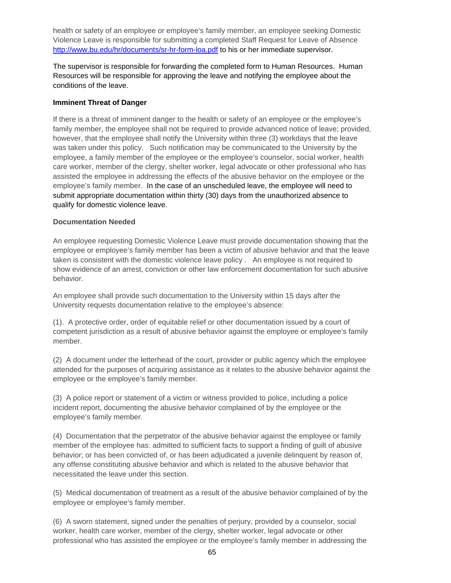health or safety of an employee or employee's family member, an employee seeking Domestic Violence Leave is responsible for submitting a completed Staff Request for Leave of Absence http://www.bu.edu/hr/documents/sr-hr-form-loa.pdf to his or her immediate supervisor.

The supervisor is responsible for forwarding the completed form to Human Resources. Human Resources will be responsible for approving the leave and notifying the employee about the conditions of the leave.

# **Imminent Threat of Danger**

If there is a threat of imminent danger to the health or safety of an employee or the employee's family member, the employee shall not be required to provide advanced notice of leave; provided, however, that the employee shall notify the University within three (3) workdays that the leave was taken under this policy. Such notification may be communicated to the University by the employee, a family member of the employee or the employee's counselor, social worker, health care worker, member of the clergy, shelter worker, legal advocate or other professional who has assisted the employee in addressing the effects of the abusive behavior on the employee or the employee's family member. In the case of an unscheduled leave, the employee will need to submit appropriate documentation within thirty (30) days from the unauthorized absence to qualify for domestic violence leave.

# **Documentation Needed**

An employee requesting Domestic Violence Leave must provide documentation showing that the employee or employee's family member has been a victim of abusive behavior and that the leave taken is consistent with the domestic violence leave policy . An employee is not required to show evidence of an arrest, conviction or other law enforcement documentation for such abusive behavior.

An employee shall provide such documentation to the University within 15 days after the University requests documentation relative to the employee's absence:

(1). A protective order, order of equitable relief or other documentation issued by a court of competent jurisdiction as a result of abusive behavior against the employee or employee's family member.

(2) A document under the letterhead of the court, provider or public agency which the employee attended for the purposes of acquiring assistance as it relates to the abusive behavior against the employee or the employee's family member.

(3) A police report or statement of a victim or witness provided to police, including a police incident report, documenting the abusive behavior complained of by the employee or the employee's family member.

(4) Documentation that the perpetrator of the abusive behavior against the employee or family member of the employee has: admitted to sufficient facts to support a finding of guilt of abusive behavior; or has been convicted of, or has been adjudicated a juvenile delinquent by reason of, any offense constituting abusive behavior and which is related to the abusive behavior that necessitated the leave under this section.

(5) Medical documentation of treatment as a result of the abusive behavior complained of by the employee or employee's family member.

(6) A sworn statement, signed under the penalties of perjury, provided by a counselor, social worker, health care worker, member of the clergy, shelter worker, legal advocate or other professional who has assisted the employee or the employee's family member in addressing the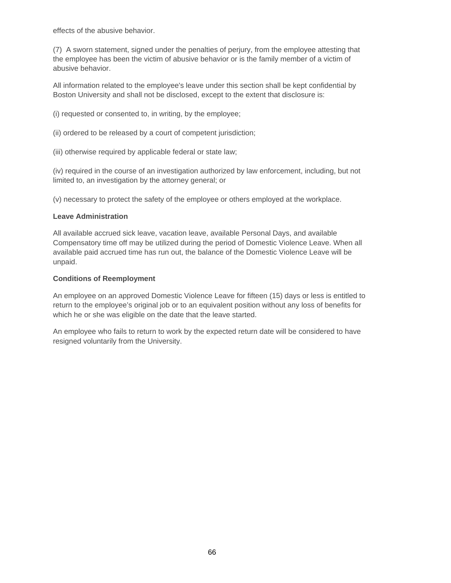effects of the abusive behavior.

(7) A sworn statement, signed under the penalties of perjury, from the employee attesting that the employee has been the victim of abusive behavior or is the family member of a victim of abusive behavior.

All information related to the employee's leave under this section shall be kept confidential by Boston University and shall not be disclosed, except to the extent that disclosure is:

(i) requested or consented to, in writing, by the employee;

- (ii) ordered to be released by a court of competent jurisdiction;
- (iii) otherwise required by applicable federal or state law;

(iv) required in the course of an investigation authorized by law enforcement, including, but not limited to, an investigation by the attorney general; or

(v) necessary to protect the safety of the employee or others employed at the workplace.

# **Leave Administration**

All available accrued sick leave, vacation leave, available Personal Days, and available Compensatory time off may be utilized during the period of Domestic Violence Leave. When all available paid accrued time has run out, the balance of the Domestic Violence Leave will be unpaid.

# **Conditions of Reemployment**

An employee on an approved Domestic Violence Leave for fifteen (15) days or less is entitled to return to the employee's original job or to an equivalent position without any loss of benefits for which he or she was eligible on the date that the leave started.

An employee who fails to return to work by the expected return date will be considered to have resigned voluntarily from the University.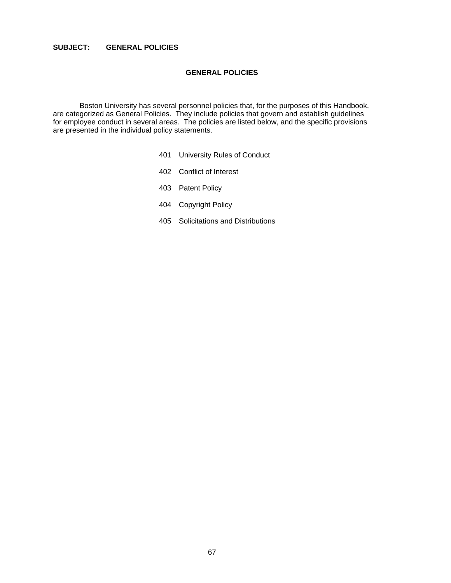# **SUBJECT: GENERAL POLICIES**

## **GENERAL POLICIES**

 Boston University has several personnel policies that, for the purposes of this Handbook, are categorized as General Policies. They include policies that govern and establish guidelines for employee conduct in several areas. The policies are listed below, and the specific provisions are presented in the individual policy statements.

- 401 University Rules of Conduct
- 402 Conflict of Interest
- 403 Patent Policy
- 404 Copyright Policy
- 405 Solicitations and Distributions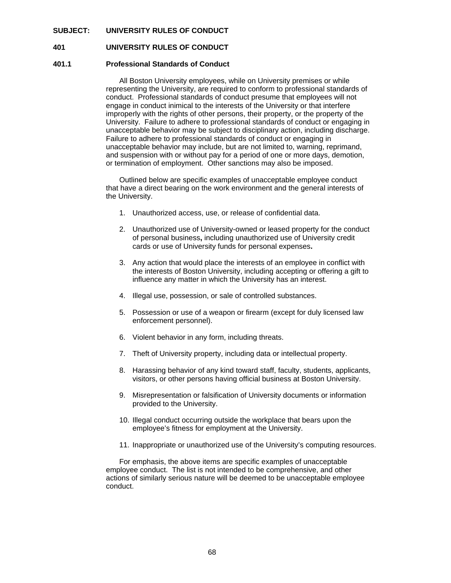### **SUBJECT: UNIVERSITY RULES OF CONDUCT**

### **401 UNIVERSITY RULES OF CONDUCT**

### **401.1 Professional Standards of Conduct**

 All Boston University employees, while on University premises or while representing the University, are required to conform to professional standards of conduct. Professional standards of conduct presume that employees will not engage in conduct inimical to the interests of the University or that interfere improperly with the rights of other persons, their property, or the property of the University. Failure to adhere to professional standards of conduct or engaging in unacceptable behavior may be subject to disciplinary action, including discharge. Failure to adhere to professional standards of conduct or engaging in unacceptable behavior may include, but are not limited to, warning, reprimand, and suspension with or without pay for a period of one or more days, demotion, or termination of employment. Other sanctions may also be imposed.

 Outlined below are specific examples of unacceptable employee conduct that have a direct bearing on the work environment and the general interests of the University.

- 1. Unauthorized access, use, or release of confidential data.
- 2. Unauthorized use of University-owned or leased property for the conduct of personal business**,** including unauthorized use of University credit cards or use of University funds for personal expenses**.**
- 3. Any action that would place the interests of an employee in conflict with the interests of Boston University, including accepting or offering a gift to influence any matter in which the University has an interest.
- 4. Illegal use, possession, or sale of controlled substances.
- 5. Possession or use of a weapon or firearm (except for duly licensed law enforcement personnel).
- 6. Violent behavior in any form, including threats.
- 7. Theft of University property, including data or intellectual property.
- 8. Harassing behavior of any kind toward staff, faculty, students, applicants, visitors, or other persons having official business at Boston University.
- 9. Misrepresentation or falsification of University documents or information provided to the University.
- 10. Illegal conduct occurring outside the workplace that bears upon the employee's fitness for employment at the University.
- 11. Inappropriate or unauthorized use of the University's computing resources.

 For emphasis, the above items are specific examples of unacceptable employee conduct. The list is not intended to be comprehensive, and other actions of similarly serious nature will be deemed to be unacceptable employee conduct.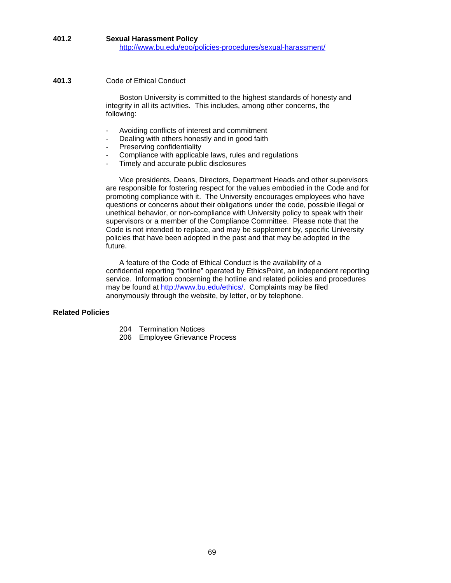# **401.2 Sexual Harassment Policy** http://www.bu.edu/eoo/policies-procedures/sexual-harassment/

## **401.3** Code of Ethical Conduct

 Boston University is committed to the highest standards of honesty and integrity in all its activities. This includes, among other concerns, the following:

- Avoiding conflicts of interest and commitment
- Dealing with others honestly and in good faith
- Preserving confidentiality
- Compliance with applicable laws, rules and regulations
- Timely and accurate public disclosures

 Vice presidents, Deans, Directors, Department Heads and other supervisors are responsible for fostering respect for the values embodied in the Code and for promoting compliance with it. The University encourages employees who have questions or concerns about their obligations under the code, possible illegal or unethical behavior, or non-compliance with University policy to speak with their supervisors or a member of the Compliance Committee. Please note that the Code is not intended to replace, and may be supplement by, specific University policies that have been adopted in the past and that may be adopted in the future.

 A feature of the Code of Ethical Conduct is the availability of a confidential reporting "hotline" operated by EthicsPoint, an independent reporting service. Information concerning the hotline and related policies and procedures may be found at http://www.bu.edu/ethics/. Complaints may be filed anonymously through the website, by letter, or by telephone.

# **Related Policies**

- 204 Termination Notices
- 206 Employee Grievance Process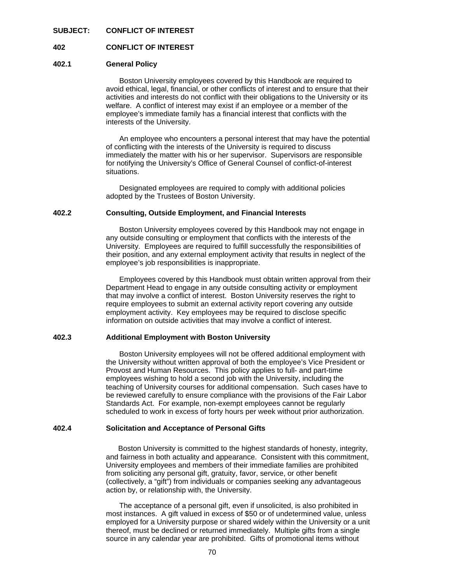### **SUBJECT: CONFLICT OF INTEREST**

### **402 CONFLICT OF INTEREST**

### **402.1 General Policy**

Boston University employees covered by this Handbook are required to avoid ethical, legal, financial, or other conflicts of interest and to ensure that their activities and interests do not conflict with their obligations to the University or its welfare. A conflict of interest may exist if an employee or a member of the employee's immediate family has a financial interest that conflicts with the interests of the University.

 An employee who encounters a personal interest that may have the potential of conflicting with the interests of the University is required to discuss immediately the matter with his or her supervisor. Supervisors are responsible for notifying the University's Office of General Counsel of conflict-of-interest situations.

 Designated employees are required to comply with additional policies adopted by the Trustees of Boston University.

### **402.2 Consulting, Outside Employment, and Financial Interests**

Boston University employees covered by this Handbook may not engage in any outside consulting or employment that conflicts with the interests of the University. Employees are required to fulfill successfully the responsibilities of their position, and any external employment activity that results in neglect of the employee's job responsibilities is inappropriate.

 Employees covered by this Handbook must obtain written approval from their Department Head to engage in any outside consulting activity or employment that may involve a conflict of interest. Boston University reserves the right to require employees to submit an external activity report covering any outside employment activity. Key employees may be required to disclose specific information on outside activities that may involve a conflict of interest.

### **402.3 Additional Employment with Boston University**

 Boston University employees will not be offered additional employment with the University without written approval of both the employee's Vice President or Provost and Human Resources. This policy applies to full- and part-time employees wishing to hold a second job with the University, including the teaching of University courses for additional compensation. Such cases have to be reviewed carefully to ensure compliance with the provisions of the Fair Labor Standards Act. For example, non-exempt employees cannot be regularly scheduled to work in excess of forty hours per week without prior authorization.

### **402.4 Solicitation and Acceptance of Personal Gifts**

 Boston University is committed to the highest standards of honesty, integrity, and fairness in both actuality and appearance. Consistent with this commitment, University employees and members of their immediate families are prohibited from soliciting any personal gift, gratuity, favor, service, or other benefit (collectively, a "gift") from individuals or companies seeking any advantageous action by, or relationship with, the University.

 The acceptance of a personal gift, even if unsolicited, is also prohibited in most instances. A gift valued in excess of \$50 or of undetermined value, unless employed for a University purpose or shared widely within the University or a unit thereof, must be declined or returned immediately. Multiple gifts from a single source in any calendar year are prohibited. Gifts of promotional items without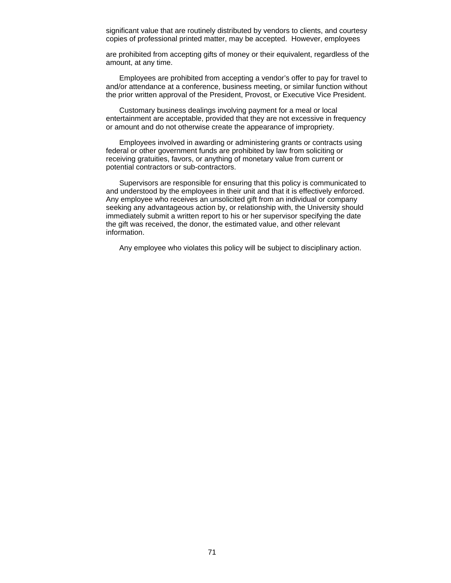significant value that are routinely distributed by vendors to clients, and courtesy copies of professional printed matter, may be accepted. However, employees

 are prohibited from accepting gifts of money or their equivalent, regardless of the amount, at any time.

 Employees are prohibited from accepting a vendor's offer to pay for travel to and/or attendance at a conference, business meeting, or similar function without the prior written approval of the President, Provost, or Executive Vice President.

 Customary business dealings involving payment for a meal or local entertainment are acceptable, provided that they are not excessive in frequency or amount and do not otherwise create the appearance of impropriety.

 Employees involved in awarding or administering grants or contracts using federal or other government funds are prohibited by law from soliciting or receiving gratuities, favors, or anything of monetary value from current or potential contractors or sub-contractors.

 Supervisors are responsible for ensuring that this policy is communicated to and understood by the employees in their unit and that it is effectively enforced. Any employee who receives an unsolicited gift from an individual or company seeking any advantageous action by, or relationship with, the University should immediately submit a written report to his or her supervisor specifying the date the gift was received, the donor, the estimated value, and other relevant information.

Any employee who violates this policy will be subject to disciplinary action.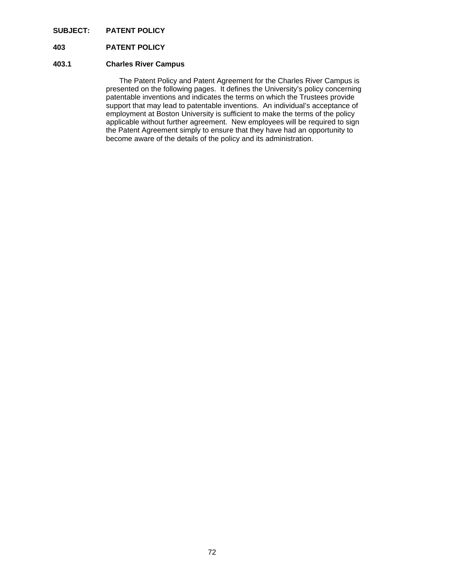# **SUBJECT: PATENT POLICY**

# **403 PATENT POLICY**

### **403.1 Charles River Campus**

The Patent Policy and Patent Agreement for the Charles River Campus is presented on the following pages. It defines the University's policy concerning patentable inventions and indicates the terms on which the Trustees provide support that may lead to patentable inventions. An individual's acceptance of employment at Boston University is sufficient to make the terms of the policy applicable without further agreement. New employees will be required to sign the Patent Agreement simply to ensure that they have had an opportunity to become aware of the details of the policy and its administration.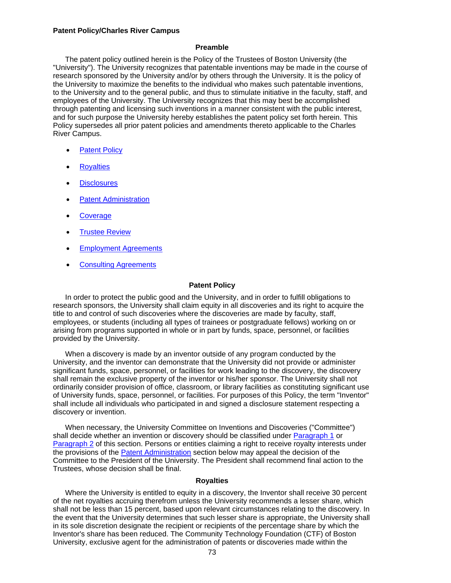#### **Patent Policy/Charles River Campus**

#### **Preamble**

 The patent policy outlined herein is the Policy of the Trustees of Boston University (the "University"). The University recognizes that patentable inventions may be made in the course of research sponsored by the University and/or by others through the University. It is the policy of the University to maximize the benefits to the individual who makes such patentable inventions, to the University and to the general public, and thus to stimulate initiative in the faculty, staff, and employees of the University. The University recognizes that this may best be accomplished through patenting and licensing such inventions in a manner consistent with the public interest, and for such purpose the University hereby establishes the patent policy set forth herein. This Policy supersedes all prior patent policies and amendments thereto applicable to the Charles River Campus.

- Patent Policy
- **Royalties**
- **Disclosures**
- Patent Administration
- **Coverage**
- Trustee Review
- Employment Agreements
- Consulting Agreements

#### **Patent Policy**

 In order to protect the public good and the University, and in order to fulfill obligations to research sponsors, the University shall claim equity in all discoveries and its right to acquire the title to and control of such discoveries where the discoveries are made by faculty, staff, employees, or students (including all types of trainees or postgraduate fellows) working on or arising from programs supported in whole or in part by funds, space, personnel, or facilities provided by the University.

 When a discovery is made by an inventor outside of any program conducted by the University, and the inventor can demonstrate that the University did not provide or administer significant funds, space, personnel, or facilities for work leading to the discovery, the discovery shall remain the exclusive property of the inventor or his/her sponsor. The University shall not ordinarily consider provision of office, classroom, or library facilities as constituting significant use of University funds, space, personnel, or facilities. For purposes of this Policy, the term "Inventor" shall include all individuals who participated in and signed a disclosure statement respecting a discovery or invention.

 When necessary, the University Committee on Inventions and Discoveries ("Committee") shall decide whether an invention or discovery should be classified under Paragraph 1 or Paragraph 2 of this section. Persons or entities claiming a right to receive royalty interests under the provisions of the Patent Administration section below may appeal the decision of the Committee to the President of the University. The President shall recommend final action to the Trustees, whose decision shall be final.

#### **Royalties**

 Where the University is entitled to equity in a discovery, the Inventor shall receive 30 percent of the net royalties accruing therefrom unless the University recommends a lesser share, which shall not be less than 15 percent, based upon relevant circumstances relating to the discovery. In the event that the University determines that such lesser share is appropriate, the University shall in its sole discretion designate the recipient or recipients of the percentage share by which the Inventor's share has been reduced. The Community Technology Foundation (CTF) of Boston University, exclusive agent for the administration of patents or discoveries made within the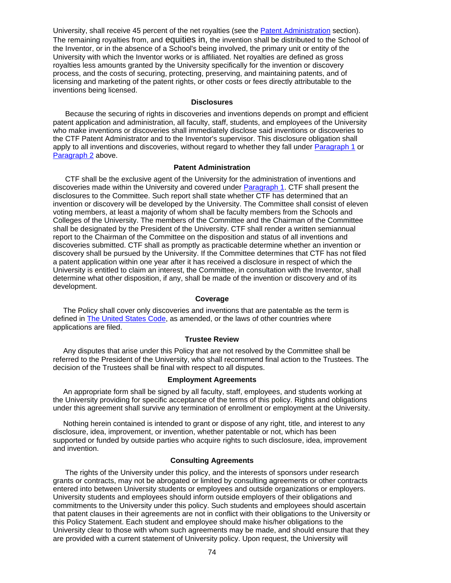University, shall receive 45 percent of the net royalties (see the Patent Administration section). The remaining royalties from, and equities in, the invention shall be distributed to the School of the Inventor, or in the absence of a School's being involved, the primary unit or entity of the University with which the Inventor works or is affiliated. Net royalties are defined as gross royalties less amounts granted by the University specifically for the invention or discovery process, and the costs of securing, protecting, preserving, and maintaining patents, and of licensing and marketing of the patent rights, or other costs or fees directly attributable to the inventions being licensed.

#### **Disclosures**

 Because the securing of rights in discoveries and inventions depends on prompt and efficient patent application and administration, all faculty, staff, students, and employees of the University who make inventions or discoveries shall immediately disclose said inventions or discoveries to the CTF Patent Administrator and to the Inventor's supervisor. This disclosure obligation shall apply to all inventions and discoveries, without regard to whether they fall under Paragraph 1 or Paragraph 2 above.

#### **Patent Administration**

 CTF shall be the exclusive agent of the University for the administration of inventions and discoveries made within the University and covered under Paragraph 1. CTF shall present the disclosures to the Committee. Such report shall state whether CTF has determined that an invention or discovery will be developed by the University. The Committee shall consist of eleven voting members, at least a majority of whom shall be faculty members from the Schools and Colleges of the University. The members of the Committee and the Chairman of the Committee shall be designated by the President of the University. CTF shall render a written semiannual report to the Chairman of the Committee on the disposition and status of all inventions and discoveries submitted. CTF shall as promptly as practicable determine whether an invention or discovery shall be pursued by the University. If the Committee determines that CTF has not filed a patent application within one year after it has received a disclosure in respect of which the University is entitled to claim an interest, the Committee, in consultation with the Inventor, shall determine what other disposition, if any, shall be made of the invention or discovery and of its development.

#### **Coverage**

 The Policy shall cover only discoveries and inventions that are patentable as the term is defined in The United States Code, as amended, or the laws of other countries where applications are filed.

#### **Trustee Review**

 Any disputes that arise under this Policy that are not resolved by the Committee shall be referred to the President of the University, who shall recommend final action to the Trustees. The decision of the Trustees shall be final with respect to all disputes.

#### **Employment Agreements**

 An appropriate form shall be signed by all faculty, staff, employees, and students working at the University providing for specific acceptance of the terms of this policy. Rights and obligations under this agreement shall survive any termination of enrollment or employment at the University.

 Nothing herein contained is intended to grant or dispose of any right, title, and interest to any disclosure, idea, improvement, or invention, whether patentable or not, which has been supported or funded by outside parties who acquire rights to such disclosure, idea, improvement and invention.

#### **Consulting Agreements**

 The rights of the University under this policy, and the interests of sponsors under research grants or contracts, may not be abrogated or limited by consulting agreements or other contracts entered into between University students or employees and outside organizations or employers. University students and employees should inform outside employers of their obligations and commitments to the University under this policy. Such students and employees should ascertain that patent clauses in their agreements are not in conflict with their obligations to the University or this Policy Statement. Each student and employee should make his/her obligations to the University clear to those with whom such agreements may be made, and should ensure that they are provided with a current statement of University policy. Upon request, the University will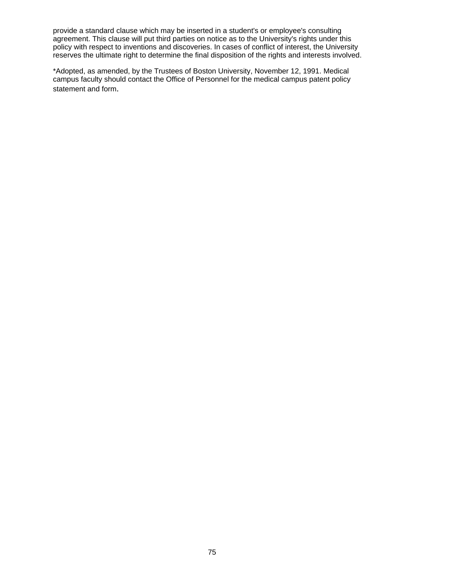provide a standard clause which may be inserted in a student's or employee's consulting agreement. This clause will put third parties on notice as to the University's rights under this policy with respect to inventions and discoveries. In cases of conflict of interest, the University reserves the ultimate right to determine the final disposition of the rights and interests involved.

\*Adopted, as amended, by the Trustees of Boston University, November 12, 1991. Medical campus faculty should contact the Office of Personnel for the medical campus patent policy statement and form.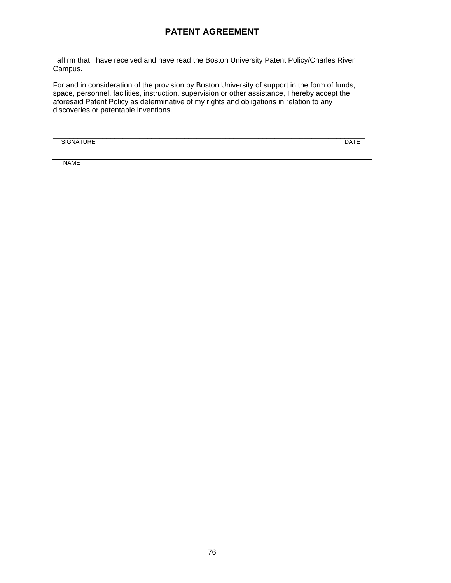# **PATENT AGREEMENT**

I affirm that I have received and have read the Boston University Patent Policy/Charles River Campus.

For and in consideration of the provision by Boston University of support in the form of funds, space, personnel, facilities, instruction, supervision or other assistance, I hereby accept the aforesaid Patent Policy as determinative of my rights and obligations in relation to any discoveries or patentable inventions.

SIGNATURE DATE

\_\_\_\_\_\_\_\_\_\_\_\_\_\_\_\_\_\_\_\_\_\_\_\_\_\_\_\_\_\_\_\_\_\_\_\_\_\_\_\_\_\_\_\_\_\_\_\_\_\_\_\_\_\_\_\_\_\_\_\_\_\_\_\_\_\_\_\_\_\_\_\_\_\_\_\_

NAME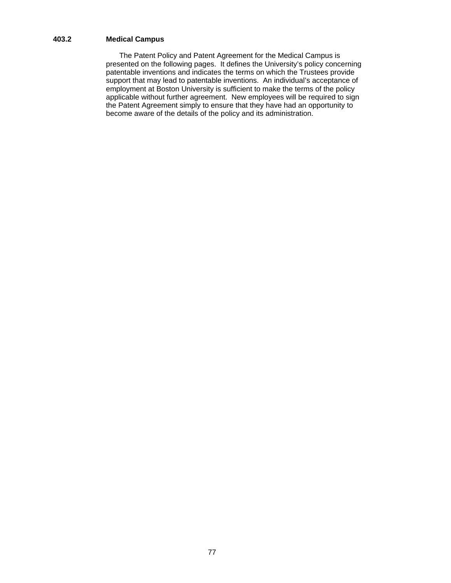# **403.2 Medical Campus**

The Patent Policy and Patent Agreement for the Medical Campus is presented on the following pages. It defines the University's policy concerning patentable inventions and indicates the terms on which the Trustees provide support that may lead to patentable inventions. An individual's acceptance of employment at Boston University is sufficient to make the terms of the policy applicable without further agreement. New employees will be required to sign the Patent Agreement simply to ensure that they have had an opportunity to become aware of the details of the policy and its administration.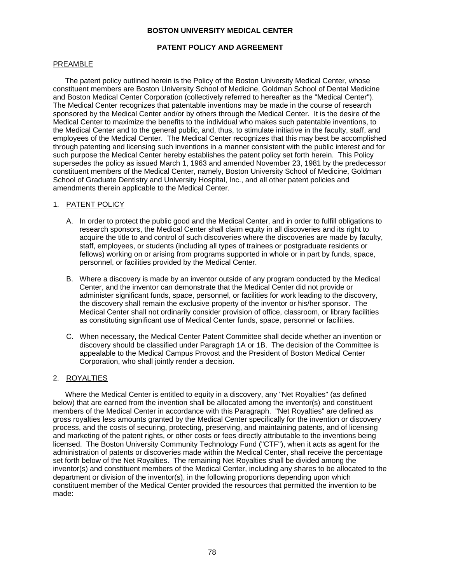#### **BOSTON UNIVERSITY MEDICAL CENTER**

#### **PATENT POLICY AND AGREEMENT**

#### PREAMBLE

 The patent policy outlined herein is the Policy of the Boston University Medical Center, whose constituent members are Boston University School of Medicine, Goldman School of Dental Medicine and Boston Medical Center Corporation (collectively referred to hereafter as the "Medical Center"). The Medical Center recognizes that patentable inventions may be made in the course of research sponsored by the Medical Center and/or by others through the Medical Center. It is the desire of the Medical Center to maximize the benefits to the individual who makes such patentable inventions, to the Medical Center and to the general public, and, thus, to stimulate initiative in the faculty, staff, and employees of the Medical Center. The Medical Center recognizes that this may best be accomplished through patenting and licensing such inventions in a manner consistent with the public interest and for such purpose the Medical Center hereby establishes the patent policy set forth herein. This Policy supersedes the policy as issued March 1, 1963 and amended November 23, 1981 by the predecessor constituent members of the Medical Center, namely, Boston University School of Medicine, Goldman School of Graduate Dentistry and University Hospital, Inc., and all other patent policies and amendments therein applicable to the Medical Center.

#### 1. PATENT POLICY

- A. In order to protect the public good and the Medical Center, and in order to fulfill obligations to research sponsors, the Medical Center shall claim equity in all discoveries and its right to acquire the title to and control of such discoveries where the discoveries are made by faculty, staff, employees, or students (including all types of trainees or postgraduate residents or fellows) working on or arising from programs supported in whole or in part by funds, space, personnel, or facilities provided by the Medical Center.
- B. Where a discovery is made by an inventor outside of any program conducted by the Medical Center, and the inventor can demonstrate that the Medical Center did not provide or administer significant funds, space, personnel, or facilities for work leading to the discovery, the discovery shall remain the exclusive property of the inventor or his/her sponsor. The Medical Center shall not ordinarily consider provision of office, classroom, or library facilities as constituting significant use of Medical Center funds, space, personnel or facilities.
- C. When necessary, the Medical Center Patent Committee shall decide whether an invention or discovery should be classified under Paragraph 1A or 1B. The decision of the Committee is appealable to the Medical Campus Provost and the President of Boston Medical Center Corporation, who shall jointly render a decision.

# 2. ROYALTIES

 Where the Medical Center is entitled to equity in a discovery, any "Net Royalties" (as defined below) that are earned from the invention shall be allocated among the inventor(s) and constituent members of the Medical Center in accordance with this Paragraph. "Net Royalties" are defined as gross royalties less amounts granted by the Medical Center specifically for the invention or discovery process, and the costs of securing, protecting, preserving, and maintaining patents, and of licensing and marketing of the patent rights, or other costs or fees directly attributable to the inventions being licensed. The Boston University Community Technology Fund ("CTF"), when it acts as agent for the administration of patents or discoveries made within the Medical Center, shall receive the percentage set forth below of the Net Royalties. The remaining Net Royalties shall be divided among the inventor(s) and constituent members of the Medical Center, including any shares to be allocated to the department or division of the inventor(s), in the following proportions depending upon which constituent member of the Medical Center provided the resources that permitted the invention to be made: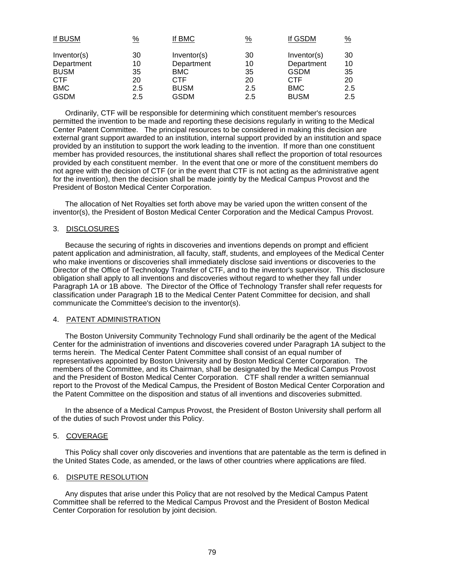| $\frac{9}{6}$ | If BMC      | $\frac{9}{6}$ | If GSDM     | $\frac{9}{6}$ |
|---------------|-------------|---------------|-------------|---------------|
| 30            | Inventor(s) | 30            | Inventor(s) | 30            |
| 10            | Department  | 10            | Department  | 10            |
| 35            | <b>BMC</b>  | 35            | <b>GSDM</b> | 35            |
| 20            | <b>CTF</b>  | 20            | <b>CTF</b>  | 20            |
| 2.5           | <b>BUSM</b> | 2.5           | <b>BMC</b>  | 2.5           |
| 2.5           | <b>GSDM</b> | 2.5           | <b>BUSM</b> | $2.5^{\circ}$ |
|               |             |               |             |               |

 Ordinarily, CTF will be responsible for determining which constituent member's resources permitted the invention to be made and reporting these decisions regularly in writing to the Medical Center Patent Committee. The principal resources to be considered in making this decision are external grant support awarded to an institution, internal support provided by an institution and space provided by an institution to support the work leading to the invention. If more than one constituent member has provided resources, the institutional shares shall reflect the proportion of total resources provided by each constituent member. In the event that one or more of the constituent members do not agree with the decision of CTF (or in the event that CTF is not acting as the administrative agent for the invention), then the decision shall be made jointly by the Medical Campus Provost and the President of Boston Medical Center Corporation.

 The allocation of Net Royalties set forth above may be varied upon the written consent of the inventor(s), the President of Boston Medical Center Corporation and the Medical Campus Provost.

#### 3. DISCLOSURES

 Because the securing of rights in discoveries and inventions depends on prompt and efficient patent application and administration, all faculty, staff, students, and employees of the Medical Center who make inventions or discoveries shall immediately disclose said inventions or discoveries to the Director of the Office of Technology Transfer of CTF, and to the inventor's supervisor. This disclosure obligation shall apply to all inventions and discoveries without regard to whether they fall under Paragraph 1A or 1B above. The Director of the Office of Technology Transfer shall refer requests for classification under Paragraph 1B to the Medical Center Patent Committee for decision, and shall communicate the Committee's decision to the inventor(s).

#### 4. PATENT ADMINISTRATION

 The Boston University Community Technology Fund shall ordinarily be the agent of the Medical Center for the administration of inventions and discoveries covered under Paragraph 1A subject to the terms herein. The Medical Center Patent Committee shall consist of an equal number of representatives appointed by Boston University and by Boston Medical Center Corporation. The members of the Committee, and its Chairman, shall be designated by the Medical Campus Provost and the President of Boston Medical Center Corporation. CTF shall render a written semiannual report to the Provost of the Medical Campus, the President of Boston Medical Center Corporation and the Patent Committee on the disposition and status of all inventions and discoveries submitted.

 In the absence of a Medical Campus Provost, the President of Boston University shall perform all of the duties of such Provost under this Policy.

#### 5. COVERAGE

 This Policy shall cover only discoveries and inventions that are patentable as the term is defined in the United States Code, as amended, or the laws of other countries where applications are filed.

#### 6. DISPUTE RESOLUTION

 Any disputes that arise under this Policy that are not resolved by the Medical Campus Patent Committee shall be referred to the Medical Campus Provost and the President of Boston Medical Center Corporation for resolution by joint decision.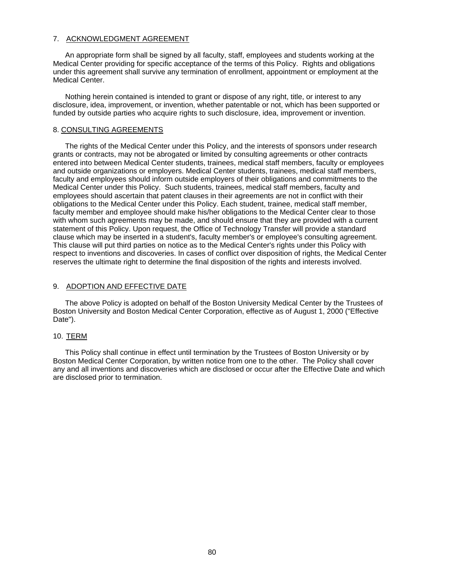#### 7. ACKNOWLEDGMENT AGREEMENT

 An appropriate form shall be signed by all faculty, staff, employees and students working at the Medical Center providing for specific acceptance of the terms of this Policy. Rights and obligations under this agreement shall survive any termination of enrollment, appointment or employment at the Medical Center.

 Nothing herein contained is intended to grant or dispose of any right, title, or interest to any disclosure, idea, improvement, or invention, whether patentable or not, which has been supported or funded by outside parties who acquire rights to such disclosure, idea, improvement or invention.

#### 8. CONSULTING AGREEMENTS

 The rights of the Medical Center under this Policy, and the interests of sponsors under research grants or contracts, may not be abrogated or limited by consulting agreements or other contracts entered into between Medical Center students, trainees, medical staff members, faculty or employees and outside organizations or employers. Medical Center students, trainees, medical staff members, faculty and employees should inform outside employers of their obligations and commitments to the Medical Center under this Policy. Such students, trainees, medical staff members, faculty and employees should ascertain that patent clauses in their agreements are not in conflict with their obligations to the Medical Center under this Policy. Each student, trainee, medical staff member, faculty member and employee should make his/her obligations to the Medical Center clear to those with whom such agreements may be made, and should ensure that they are provided with a current statement of this Policy. Upon request, the Office of Technology Transfer will provide a standard clause which may be inserted in a student's, faculty member's or employee's consulting agreement. This clause will put third parties on notice as to the Medical Center's rights under this Policy with respect to inventions and discoveries. In cases of conflict over disposition of rights, the Medical Center reserves the ultimate right to determine the final disposition of the rights and interests involved.

#### 9. ADOPTION AND EFFECTIVE DATE

 The above Policy is adopted on behalf of the Boston University Medical Center by the Trustees of Boston University and Boston Medical Center Corporation, effective as of August 1, 2000 ("Effective Date").

#### 10. TERM

 This Policy shall continue in effect until termination by the Trustees of Boston University or by Boston Medical Center Corporation, by written notice from one to the other. The Policy shall cover any and all inventions and discoveries which are disclosed or occur after the Effective Date and which are disclosed prior to termination.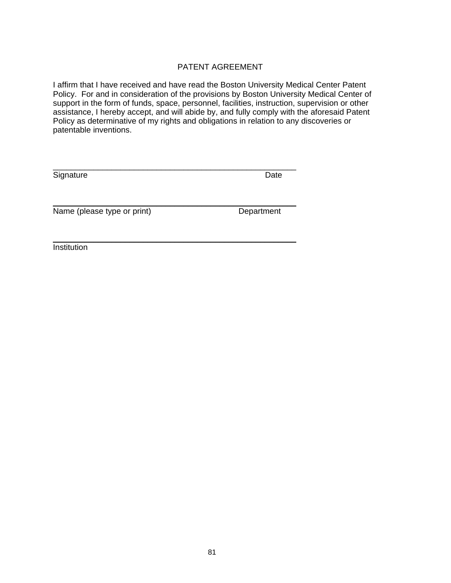# PATENT AGREEMENT

I affirm that I have received and have read the Boston University Medical Center Patent Policy. For and in consideration of the provisions by Boston University Medical Center of support in the form of funds, space, personnel, facilities, instruction, supervision or other assistance, I hereby accept, and will abide by, and fully comply with the aforesaid Patent Policy as determinative of my rights and obligations in relation to any discoveries or patentable inventions.

| Signature                   | Date       |
|-----------------------------|------------|
| Name (please type or print) | Department |
|                             |            |

Institution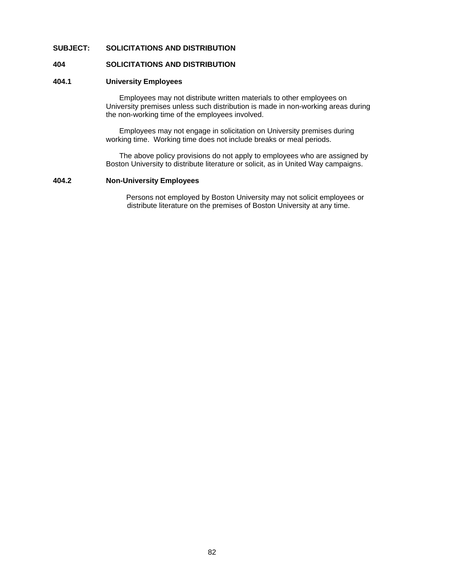#### **SUBJECT: SOLICITATIONS AND DISTRIBUTION**

#### **404 SOLICITATIONS AND DISTRIBUTION**

# **404.1 University Employees**

Employees may not distribute written materials to other employees on University premises unless such distribution is made in non-working areas during the non-working time of the employees involved.

 Employees may not engage in solicitation on University premises during working time. Working time does not include breaks or meal periods.

 The above policy provisions do not apply to employees who are assigned by Boston University to distribute literature or solicit, as in United Way campaigns.

#### **404.2 Non-University Employees**

Persons not employed by Boston University may not solicit employees or distribute literature on the premises of Boston University at any time.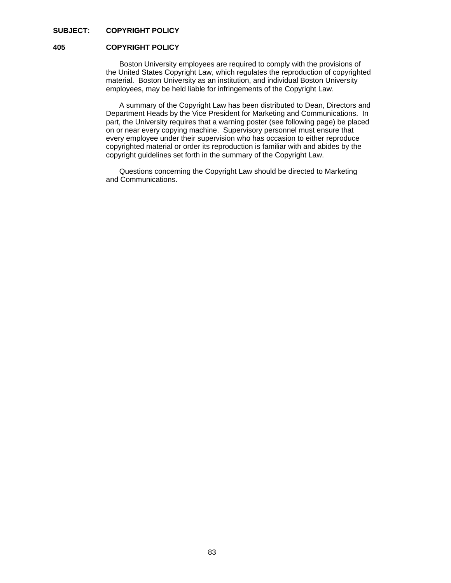# **SUBJECT: COPYRIGHT POLICY**

#### **405 COPYRIGHT POLICY**

 Boston University employees are required to comply with the provisions of the United States Copyright Law, which regulates the reproduction of copyrighted material. Boston University as an institution, and individual Boston University employees, may be held liable for infringements of the Copyright Law.

 A summary of the Copyright Law has been distributed to Dean, Directors and Department Heads by the Vice President for Marketing and Communications. In part, the University requires that a warning poster (see following page) be placed on or near every copying machine. Supervisory personnel must ensure that every employee under their supervision who has occasion to either reproduce copyrighted material or order its reproduction is familiar with and abides by the copyright guidelines set forth in the summary of the Copyright Law.

 Questions concerning the Copyright Law should be directed to Marketing and Communications.